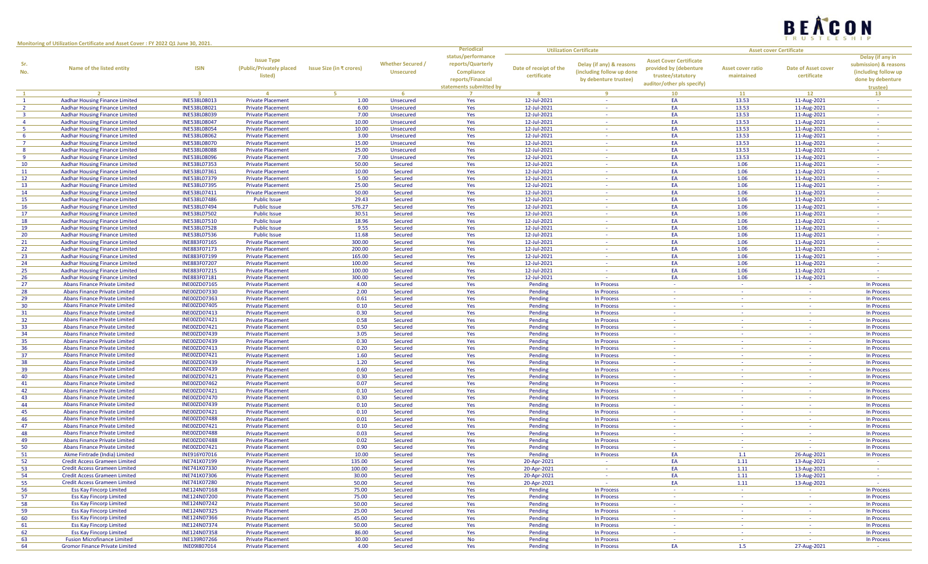

**Monitoring of Utilization Certificate and Asset Cover : FY 2022 Q1 June 30, 2021.**

|                |                                       |                         |                          |                          |                          | <b>Periodical</b>       |                        | <b>Utilization Certificate</b> |                                |                          | <b>Asset cover Certificate</b> |                       |
|----------------|---------------------------------------|-------------------------|--------------------------|--------------------------|--------------------------|-------------------------|------------------------|--------------------------------|--------------------------------|--------------------------|--------------------------------|-----------------------|
|                |                                       |                         |                          |                          |                          | status/performance      |                        |                                |                                |                          |                                | Delay (if any in      |
| Sr.            |                                       |                         | <b>Issue Type</b>        |                          | <b>Whether Secured /</b> | reports/Quarterly       |                        | Delay (if any) & reasons       | <b>Asset Cover Certificate</b> |                          |                                | submission) & reasons |
| No.            | Name of the listed entity             | <b>ISIN</b>             | (Public/Privately placed | Issue Size (in ₹ crores) | <b>Unsecured</b>         | Compliance              | Date of receipt of the | (including follow up done      | provided by (debenture         | <b>Asset cover ratio</b> | Date of Asset cover            | (including follow up  |
|                |                                       |                         | listed)                  |                          |                          |                         | certificate            |                                | trustee/statutory              | maintained               | certificate                    |                       |
|                |                                       |                         |                          |                          |                          | reports/Financial       |                        | by debenture trustee)          | auditor/other pls specify)     |                          |                                | done by debenture     |
|                |                                       |                         |                          |                          |                          | statements submitted by |                        |                                |                                |                          |                                | <b>trustee)</b>       |
| $\mathbf{1}$   | $\overline{2}$                        | $\overline{\mathbf{3}}$ | $\overline{a}$           | -5.                      | -6                       |                         | 8                      | -9                             | 10                             | 11                       | 12                             | 13                    |
| $\mathbf{1}$   | <b>Aadhar Housing Finance Limited</b> | INE538L08013            | <b>Private Placement</b> | 1.00                     | Unsecured                | Yes                     | 12-Jul-2021            | $\sim$                         | EA                             | 13.53                    | 11-Aug-2021                    | $\sim$                |
| $\overline{2}$ | Aadhar Housing Finance Limited        | INE538L08021            | <b>Private Placement</b> | 6.00                     | Unsecured                | Yes                     | 12-Jul-2021            | $\sim$                         | EA                             | 13.53                    | 11-Aug-2021                    | $\sim$                |
| $\overline{3}$ | Aadhar Housing Finance Limited        | INE538L08039            | <b>Private Placement</b> | 7.00                     | Unsecured                | Yes                     | 12-Jul-2021            | $\sim$                         | EA                             | 13.53                    | 11-Aug-2021                    |                       |
| $\overline{4}$ | Aadhar Housing Finance Limited        | INE538L08047            | <b>Private Placement</b> | 10.00                    | Unsecured                | Yes                     | 12-Jul-2021            | $\sim$                         | EA                             | 13.53                    | 11-Aug-2021                    |                       |
| -5             | Aadhar Housing Finance Limited        | INE538L08054            | <b>Private Placement</b> | 10.00                    | Unsecured                | Yes                     | 12-Jul-2021            | $\sim$                         | EA                             | 13.53                    | 11-Aug-2021                    |                       |
| -6             |                                       | INE538L08062            | <b>Private Placement</b> | 3.00                     |                          | Yes                     | 12-Jul-2021            | $\sim$                         | EA                             | 13.53                    |                                | $\sim$                |
|                | Aadhar Housing Finance Limited        |                         |                          |                          | Unsecured                |                         |                        |                                |                                |                          | 11-Aug-2021                    |                       |
| $\overline{7}$ | Aadhar Housing Finance Limited        | <b>INE538L08070</b>     | <b>Private Placement</b> | 15.00                    | Unsecured                | Yes                     | 12-Jul-2021            | $\sim$                         | EA                             | 13.53                    | 11-Aug-2021                    |                       |
| 8              | <b>Aadhar Housing Finance Limited</b> | <b>INE538L08088</b>     | <b>Private Placement</b> | 25.00                    | Unsecured                | Yes                     | 12-Jul-2021            | $\sim$                         | EA                             | 13.53                    | 11-Aug-2021                    |                       |
| -9             | <b>Aadhar Housing Finance Limited</b> | <b>INE538L08096</b>     | <b>Private Placement</b> | 7.00                     | Unsecured                | Yes                     | 12-Jul-2021            | $\sim$                         | EA                             | 13.53                    | 11-Aug-2021                    | $\sim$                |
| 10             | <b>Aadhar Housing Finance Limited</b> | INE538L07353            | <b>Private Placement</b> | 50.00                    | Secured                  | Yes                     | 12-Jul-2021            | $\sim$                         | EA                             | 1.06                     | 11-Aug-2021                    | $\sim$                |
| 11             | <b>Aadhar Housing Finance Limited</b> | INE538L07361            | <b>Private Placement</b> | 10.00                    | Secured                  | Yes                     | 12-Jul-2021            | <b>Section</b>                 | EA                             | 1.06                     | 11-Aug-2021                    |                       |
| 12             | Aadhar Housing Finance Limited        | INE538L07379            | <b>Private Placement</b> | 5.00                     | Secured                  | Yes                     | 12-Jul-2021            | $\sim$                         | EA                             | 1.06                     | 11-Aug-2021                    | $\sim$                |
| 13             | Aadhar Housing Finance Limited        | INE538L07395            | <b>Private Placement</b> | 25.00                    | Secured                  | Yes                     | 12-Jul-2021            | $\sim$                         | EA                             | 1.06                     | 11-Aug-2021                    | $\sim$                |
| 14             |                                       |                         |                          | 50.00                    |                          |                         |                        |                                | EA                             | 1.06                     |                                |                       |
|                | Aadhar Housing Finance Limited        | INE538L07411            | <b>Private Placement</b> |                          | Secured                  | Yes                     | 12-Jul-2021            | $\sim$                         |                                |                          | 11-Aug-2021                    |                       |
| 15             | Aadhar Housing Finance Limited        | INE538L07486            | <b>Public Issue</b>      | 29.43                    | Secured                  | Yes                     | 12-Jul-2021            | $\sim$                         | EA                             | 1.06                     | 11-Aug-2021                    | $\sim$                |
| 16             | Aadhar Housing Finance Limited        | INE538L07494            | <b>Public Issue</b>      | 576.27                   | Secured                  | Yes                     | 12-Jul-2021            | $\sim$                         | EA                             | 1.06                     | 11-Aug-2021                    |                       |
| 17             | <b>Aadhar Housing Finance Limited</b> | INE538L07502            | <b>Public Issue</b>      | 30.51                    | Secured                  | Yes                     | 12-Jul-2021            | $\sim$                         | EA                             | 1.06                     | 11-Aug-2021                    | $\sim$                |
| 18             | Aadhar Housing Finance Limited        | INE538L07510            | <b>Public Issue</b>      | 18.96                    | Secured                  | Yes                     | 12-Jul-2021            | $\sim$                         | EA                             | 1.06                     | 11-Aug-2021                    |                       |
| 19             | <b>Aadhar Housing Finance Limited</b> | INE538L07528            | <b>Public Issue</b>      | 9.55                     | Secured                  | Yes                     | 12-Jul-2021            | $\sim$                         | EA                             | 1.06                     | 11-Aug-2021                    | $\sim$                |
| 20             | Aadhar Housing Finance Limited        | INE538L07536            | <b>Public Issue</b>      | 11.68                    | Secured                  | Yes                     | 12-Jul-2021            | $\sim$                         | EA                             | 1.06                     | 11-Aug-2021                    | $\sim$                |
|                |                                       |                         |                          |                          |                          |                         |                        | $\sim$                         | EA                             |                          |                                |                       |
| 21             | Aadhar Housing Finance Limited        | INE883F07165            | <b>Private Placement</b> | 300.00                   | Secured                  | Yes                     | 12-Jul-2021            |                                |                                | 1.06                     | 11-Aug-2021                    |                       |
| 22             | <b>Aadhar Housing Finance Limited</b> | INE883F07173            | <b>Private Placement</b> | 200.00                   | Secured                  | Yes                     | 12-Jul-2021            | $\sim$                         | EA                             | 1.06                     | 11-Aug-2021                    | $\sim$                |
| 23             | Aadhar Housing Finance Limited        | INE883F07199            | <b>Private Placement</b> | 165.00                   | Secured                  | Yes                     | 12-Jul-2021            | $\sim$                         | EA                             | 1.06                     | 11-Aug-2021                    |                       |
| 24             | <b>Aadhar Housing Finance Limited</b> | INE883F07207            | <b>Private Placement</b> | 100.00                   | Secured                  | Yes                     | 12-Jul-2021            | $\sim$                         | EA                             | 1.06                     | 11-Aug-2021                    |                       |
| 25             | Aadhar Housing Finance Limited        | INE883F07215            | <b>Private Placement</b> | 100.00                   | Secured                  | Yes                     | 12-Jul-2021            | $\sim$                         | EA                             | 1.06                     | 11-Aug-2021                    |                       |
| 26             | <b>Aadhar Housing Finance Limited</b> | INE883F07181            | <b>Private Placement</b> | 300.00                   | Secured                  | Yes                     | 12-Jul-2021            | na.                            | EA                             | 1.06                     | 11-Aug-2021                    | $\sim$ $\sim$         |
| 27             | <b>Abans Finance Private Limited</b>  | <b>INE00ZD07165</b>     | <b>Private Placement</b> | 4.00                     | Secured                  | Yes                     | Pending                | In Process                     | <b>Contract</b>                | <b>College</b>           | <b>Contract</b>                | In Process            |
|                | Abans Finance Private Limited         | <b>INE00ZD07330</b>     | <b>Private Placement</b> | 2.00                     |                          |                         |                        |                                | <b>College</b>                 | $\sim$                   | $\sim$                         | In Process            |
| 28             |                                       |                         |                          |                          | Secured                  | Yes                     | Pending                | In Process                     |                                |                          |                                |                       |
| 29             | Abans Finance Private Limited         | <b>INE00ZD07363</b>     | <b>Private Placement</b> | 0.61                     | Secured                  | Yes                     | Pending                | In Process                     | $\sim$ $-$                     | <b>College</b>           | <b>Contract</b>                | In Process            |
| 30             | Abans Finance Private Limited         | <b>INE00ZD07405</b>     | <b>Private Placement</b> | 0.10                     | Secured                  | Yes                     | Pending                | In Process                     | $\sim$ $\sim$                  | $\sim$                   | $\sim$                         | <b>In Process</b>     |
| 31             | Abans Finance Private Limited         | <b>INE00ZD07413</b>     | <b>Private Placement</b> | 0.30                     | Secured                  | Yes                     | Pending                | In Process                     |                                | $\sim$                   | $\sim$                         | In Process            |
| 32             | Abans Finance Private Limited         | INE00ZD07421            | <b>Private Placement</b> | 0.58                     | Secured                  | Yes                     | Pending                | In Process                     |                                | $\sim$                   | $\sim$                         | In Process            |
| 33             | Abans Finance Private Limited         | INE00ZD07421            | <b>Private Placement</b> | 0.50                     | Secured                  | Yes                     | Pending                | In Process                     | $\sim$ $\sim$                  | $\sim$                   | $\sim$                         | In Process            |
| 34             | Abans Finance Private Limited         | <b>INE00ZD07439</b>     | <b>Private Placement</b> | 3.05                     | Secured                  | Yes                     | Pending                | In Process                     | - 40                           | $\sim$                   | $\sim$                         | In Process            |
| 35             | Abans Finance Private Limited         | <b>INE00ZD07439</b>     | <b>Private Placement</b> | 0.30                     | Secured                  | Yes                     | Pending                | In Process                     | $\sim$ $\sim$                  | $\sim$                   | $\sim$                         | In Process            |
|                |                                       |                         |                          |                          |                          |                         |                        |                                |                                |                          |                                |                       |
| 36             | Abans Finance Private Limited         | <b>INE00ZD07413</b>     | <b>Private Placement</b> | 0.20                     | Secured                  | Yes                     | Pending                | In Process                     | <b>College</b>                 | <b>Section</b>           | $\sim$                         | In Process            |
| 37             | Abans Finance Private Limited         | INE00ZD07421            | <b>Private Placement</b> | 1.60                     | Secured                  | Yes                     | Pending                | In Process                     | $\sim$ $\sim$                  | $\sim$                   | $\sim$                         | In Process            |
| 38             | Abans Finance Private Limited         | <b>INE00ZD07439</b>     | <b>Private Placement</b> | 1.20                     | Secured                  | Yes                     | Pending                | In Process                     | $\sim$                         | $\sim$                   | $\sim$                         | In Process            |
| 39             | Abans Finance Private Limited         | <b>INE00ZD07439</b>     | <b>Private Placement</b> | 0.60                     | Secured                  | Yes                     | Pending                | In Process                     |                                | $\sim$                   | $\sim$                         | In Process            |
| 40             | Abans Finance Private Limited         | INE00ZD07421            | <b>Private Placement</b> | 0.30                     | Secured                  | Yes                     | Pending                | In Process                     | $\sim$                         | $\sim$                   | $\sim$                         | In Process            |
| 41             | Abans Finance Private Limited         | <b>INE00ZD07462</b>     | <b>Private Placement</b> | 0.07                     | Secured                  | Yes                     | Pending                | In Process                     |                                | $\sim$                   |                                | <b>In Process</b>     |
| 42             | Abans Finance Private Limited         | INE00ZD07421            | <b>Private Placement</b> | 0.10                     | Secured                  | Yes                     | Pending                | In Process                     | $\sim$ $\sim$                  | $\sim$                   | $\sim$                         | In Process            |
| 43             | <b>Abans Finance Private Limited</b>  | <b>INE00ZD07470</b>     | <b>Private Placement</b> | 0.30                     | Secured                  | Yes                     | Pending                | In Process                     | <b>Section</b>                 | $\sim$                   | $\sim$                         | In Process            |
|                | <b>Abans Finance Private Limited</b>  | <b>INE00ZD07439</b>     |                          | 0.10                     |                          |                         |                        |                                | $\sim$ $\sim$                  | $\sim$                   | $\sim$ $-$                     |                       |
| 44             |                                       |                         | <b>Private Placement</b> |                          | Secured                  | Yes                     | Pending                | In Process                     |                                |                          |                                | In Process            |
| 45             | Abans Finance Private Limited         | INE00ZD07421            | <b>Private Placement</b> | 0.10                     | Secured                  | Yes                     | Pending                | <b>In Process</b>              | <b>College</b>                 | $\sim$                   | $\sim$                         | In Process            |
| 46             | Abans Finance Private Limited         | <b>INE00ZD07488</b>     | <b>Private Placement</b> | 0.01                     | Secured                  | Yes                     | Pending                | In Process                     | $\sim$                         | $\sim$                   | $\sim$                         | In Process            |
| 47             | Abans Finance Private Limited         | INE00ZD07421            | <b>Private Placement</b> | 0.10                     | Secured                  | Yes                     | Pending                | In Process                     | $\sim$ $-$                     | $\sim$                   | <b>Contract</b>                | In Process            |
| 48             | <b>Abans Finance Private Limited</b>  | <b>INE00ZD07488</b>     | <b>Private Placement</b> | 0.03                     | Secured                  | Yes                     | Pending                | In Process                     |                                | $\sim$                   |                                | <b>In Process</b>     |
| 49             | Abans Finance Private Limited         | <b>INE00ZD07488</b>     | <b>Private Placement</b> | 0.02                     | Secured                  | Yes                     | Pending                | In Process                     | $\sim$                         | $\sim$                   | $\sim$                         | In Process            |
| 50             | <b>Abans Finance Private Limited</b>  | <b>INE00ZD07421</b>     | <b>Private Placement</b> | 0.90                     | Secured                  | Yes                     | Pending                | In Process                     |                                |                          |                                | <b>In Process</b>     |
| 51             | Akme Fintrade (India) Limited         | INE916Y07016            | <b>Private Placement</b> | 10.00                    | Secured                  | Yes                     | Pending                | In Process                     | EA                             | 1.1                      | 26-Aug-2021                    | <b>In Process</b>     |
|                |                                       |                         |                          |                          |                          |                         |                        |                                |                                |                          |                                |                       |
| 52             | Credit Access Grameen Limited         | INE741K07199            | <b>Private Placement</b> | 135.00                   | Secured                  | Yes                     | 20-Apr-2021            |                                | EA.                            | 1.11                     | 13-Aug-2021                    |                       |
| 53             | Credit Access Grameen Limited         | INE741K07330            | <b>Private Placement</b> | 100.00                   | Secured                  | Yes                     | 20-Apr-2021            |                                | EA                             | 1.11                     | 13-Aug-2021                    | <b>Section</b>        |
| 54             | Credit Access Grameen Limited         | INE741K07306            | <b>Private Placement</b> | 30.00                    | Secured                  | Yes                     | 20-Apr-2021            | $\sim$                         | EA                             | 1.11                     | 13-Aug-2021                    | $\sim$ $-$            |
| 55             | <b>Credit Access Grameen Limited</b>  | <b>INE741K07280</b>     | <b>Private Placement</b> | 50.00                    | Secured                  | Yes                     | 20-Apr-2021            |                                | EA                             | 1.11                     | 13-Aug-2021                    |                       |
| 56             | <b>Ess Kay Fincorp Limited</b>        | INE124N07168            | <b>Private Placement</b> | 75.00                    | Secured                  | Yes                     | Pending                | In Process                     | $\sim$ $-$                     | $\sim$                   | $\sim$ 10 $\pm$                | In Process            |
| 57             | <b>Ess Kay Fincorp Limited</b>        | INE124N07200            | <b>Private Placement</b> | 75.00                    | Secured                  | Yes                     | Pending                | In Process                     |                                | $\sim$                   | $\sim$                         | In Process            |
| 58             | <b>Ess Kay Fincorp Limited</b>        | INE124N07242            | <b>Private Placement</b> | 50.00                    | Secured                  | Yes                     | Pending                | In Process                     | $\sim$ $-$                     | $\sim$                   | $\sim$                         | In Process            |
| 59             | <b>Ess Kay Fincorp Limited</b>        | INE124N07325            | <b>Private Placement</b> | 25.00                    | Secured                  | Yes                     | Pending                | In Process                     | <b>College</b>                 | $\sim$                   | $\sim 10^{-1}$                 | In Process            |
|                |                                       | INE124N07366            |                          |                          |                          |                         |                        |                                | $\sim$                         | $\sim$                   | <b>Section</b>                 |                       |
| 60             | <b>Ess Kay Fincorp Limited</b>        |                         | <b>Private Placement</b> | 45.00                    | Secured                  | Yes                     | Pending                | In Process                     |                                |                          |                                | In Process            |
| 61             | <b>Ess Kay Fincorp Limited</b>        | INE124N07374            | <b>Private Placement</b> | 50.00                    | Secured                  | Yes                     | Pending                | In Process                     | $\sim$ $-$                     | $\sim$                   | $\sim$                         | In Process            |
| 62             | <b>Ess Kay Fincorp Limited</b>        | INE124N07358            | <b>Private Placement</b> | 86.00                    | Secured                  | Yes                     | Pending                | In Process                     | $\sim$                         | $\sim$                   | $\sim$                         | In Process            |
| 63             | <b>Fusion Microfinance Limited</b>    | INE139R07266            | <b>Private Placement</b> | 30.00                    | Secured                  | No                      | Pending                | In Process                     | $\sim$                         | $\sim$                   | $\sim$                         | In Process            |
| 64             | <b>Gromor Finance Private Limited</b> | INE091807014            | <b>Private Placement</b> | 4.00                     | Secured                  | Yes                     | Pending                | In Process                     | EA                             | 1.5                      | 27-Aug-2021                    |                       |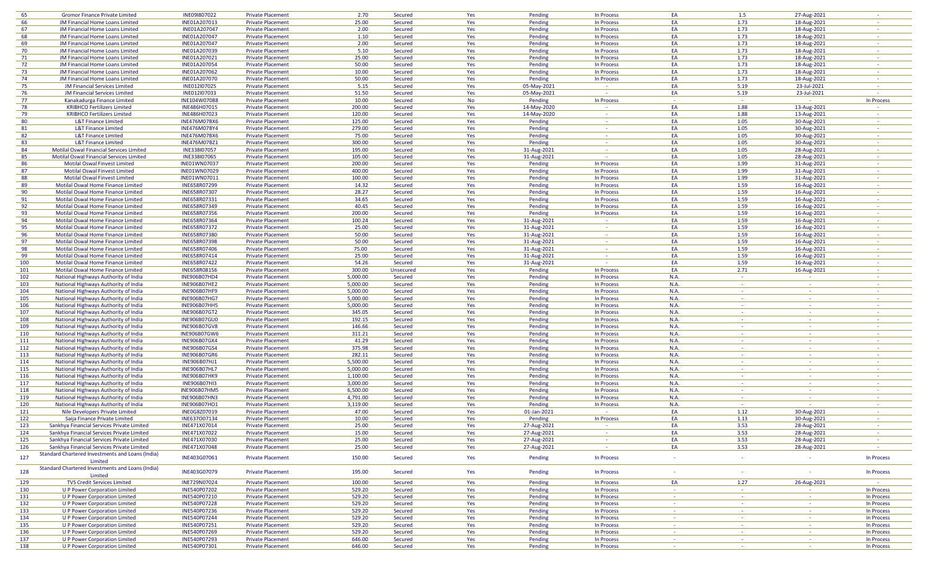| 65         | <b>Gromor Finance Private Limited</b>                                        | INE091807022                 | <b>Private Placement</b>                             | 2.70             | Secured            | Yes        | Pending            | In Process               | EA                                 | 1.5                       | 27-Aug-2021              |                          |
|------------|------------------------------------------------------------------------------|------------------------------|------------------------------------------------------|------------------|--------------------|------------|--------------------|--------------------------|------------------------------------|---------------------------|--------------------------|--------------------------|
| 66         | JM Financial Home Loans Limited                                              | INE01A207013                 | <b>Private Placement</b>                             | 25.00            | Secured            | Yes        | Pending            | In Process               | EA                                 | 1.73                      | 18-Aug-2021              | $\sim$                   |
| 67         | JM Financial Home Loans Limited                                              | INE01A207047                 | <b>Private Placement</b>                             | 2.00             | Secured            | Yes        | Pending            | In Process               | EA                                 | 1.73                      | 18-Aug-2021              |                          |
| 68         | JM Financial Home Loans Limited                                              | INE01A207047                 | <b>Private Placement</b>                             | 1.10             | Secured            | Yes        | Pending            | In Process               | EA                                 | 1.73                      | 18-Aug-2021              | na.                      |
| 69         | JM Financial Home Loans Limited                                              | INE01A207047                 | <b>Private Placement</b>                             | 2.00             | Secured            | Yes        | Pending            | In Process               | EA                                 | 1.73                      | 18-Aug-2021              | $\sim$                   |
| 70         | JM Financial Home Loans Limited                                              | INE01A207039                 | <b>Private Placement</b>                             | 5.10             | Secured            | Yes        | Pending            | In Process               | EA                                 | 1.73                      | 18-Aug-2021              | $\sim$                   |
| 71         | JM Financial Home Loans Limited                                              | INE01A207021                 | <b>Private Placement</b>                             | 25.00            | Secured            | Yes        | Pending            | In Process               | EA                                 | 1.73                      | 18-Aug-2021              | $\sim$ $-$               |
| 72         | <b>JM Financial Home Loans Limited</b>                                       | INE01A207054                 | <b>Private Placement</b>                             | 50.00            | Secured            | Yes        | Pending            | In Process               | EA                                 | 1.73                      | 18-Aug-2021              | $\sim$                   |
| 73         | JM Financial Home Loans Limited                                              | INE01A207062                 | <b>Private Placement</b>                             | 10.00            | Secured            | Yes        | Pending            | In Process               | EA                                 | 1.73                      | 18-Aug-2021              | $\sim$                   |
| 74         | JM Financial Home Loans Limited                                              | INE01A207070                 | <b>Private Placement</b>                             | 50.00            | Secured            | Yes        | Pending            | In Process               | EA                                 | 1.73                      | 18-Aug-2021              |                          |
| 75         | <b>JM Financial Services Limited</b>                                         | INE012I07025                 | <b>Private Placement</b>                             | 5.15             | Secured            | Yes        | 05-May-2021        | $\sim$                   | EA                                 | 5.19                      | 23-Jul-2021              | na.                      |
| 76         | <b>JM Financial Services Limited</b>                                         | INE012I07033                 | <b>Private Placement</b>                             | 51.50            | Secured            | Yes        | 05-May-2021        | $\sim$                   | EA                                 | 5.19                      | 23-Jul-2021              |                          |
| 77         | Kanakadurga Finance Limited                                                  | INE104W07088                 | <b>Private Placement</b>                             | 10.00            | Secured            | <b>No</b>  | Pending            | In Process               | $\sim$                             | na.                       |                          | In Process               |
| 78         | <b>KRIBHCO Fertilizers Limited</b>                                           | INE486H07015                 | <b>Private Placement</b>                             | 200.00           | Secured            | Yes        | 14-May-2020        | $\sim$                   | EA                                 | 1.88                      | 13-Aug-2021              | $\sim$                   |
| 79         | <b>KRIBHCO Fertilizers Limited</b>                                           | INE486H07023                 | <b>Private Placement</b>                             | 120.00           | Secured            | Yes        | 14-May-2020        | $\sim$                   | EA                                 | 1.88                      | 13-Aug-2021              | $\sim$                   |
| 80         | <b>L&amp;T Finance Limited</b>                                               | <b>INE476M07BX6</b>          | <b>Private Placement</b>                             | 125.00           | Secured            | Yes        | Pending            | 187                      | EA                                 | 1.05                      | 30-Aug-2021              | $\sim$                   |
| 81         | <b>L&amp;T Finance Limited</b>                                               | <b>INE476M07BY4</b>          | <b>Private Placement</b>                             | 279.00           | Secured            | Yes        | Pending            | $\sim$                   | EA                                 | 1.05                      | 30-Aug-2021              |                          |
| 82         | <b>L&amp;T Finance Limited</b>                                               | <b>INE476M07BX6</b>          | <b>Private Placement</b>                             | 75.00            | Secured            | Yes        | Pending            | $\sim$                   | EA                                 | 1.05                      | 30-Aug-2021              | $\sim$                   |
| 83         | <b>L&amp;T Finance Limited</b>                                               | <b>INE476M07BZ1</b>          | <b>Private Placement</b>                             | 300.00           | Secured            | Yes        | Pending            | $\sim$                   | EA                                 | 1.05                      | 30-Aug-2021              |                          |
| 84         | Motilal Oswal Financial Services Limited                                     | INE338107057                 | <b>Private Placement</b>                             | 195.00           | Secured            | Yes        | 31-Aug-2021        | $\sim$                   | EA                                 | 1.05                      | 28-Aug-2021              | n a                      |
| 85         | <b>Motilal Oswal Financial Services Limited</b>                              | INE338107065                 | <b>Private Placement</b>                             | 105.00           | Secured            | Yes        | 31-Aug-2021        | $\sim$                   | EA                                 | 1.05                      | 28-Aug-2021              | $\sim$                   |
| 86         | Motilal Oswal Finvest Limited                                                | INE01WN07037                 | <b>Private Placement</b>                             | 200.00           | Secured            | Yes        | Pending            | In Process               | EA                                 | 1.99                      | 31-Aug-2021              | $\sim$                   |
| 87         | Motilal Oswal Finvest Limited                                                | INE01WN07029                 | <b>Private Placement</b>                             | 400.00           | Secured            | Yes        | Pending            | In Process               | EA                                 | 1.99                      | 31-Aug-2021              | $\sim$                   |
| 88         | <b>Motilal Oswal Finvest Limited</b>                                         | INE01WN07011                 | <b>Private Placement</b>                             | 100.00           | Secured            | Yes        | Pending            | In Process               | EA                                 | 1.99                      | 31-Aug-2021              |                          |
| 89         | Motilal Oswal Home Finance Limited                                           | INE658R07299                 | <b>Private Placement</b>                             | 14.32            | Secured            | Yes        | Pending            | In Process               | EA                                 | 1.59                      | 16-Aug-2021              | $\sim$ $-$               |
| 90         | Motilal Oswal Home Finance Limited                                           | INE658R07307                 | <b>Private Placement</b>                             | 28.27            | Secured            | Yes        | Pending            | In Process               | EA                                 | 1.59                      | 16-Aug-2021              |                          |
| 91         | Motilal Oswal Home Finance Limited                                           | INE658R07331                 | <b>Private Placement</b>                             | 34.65            | Secured            | Yes        | Pending            | In Process               | EA                                 | 1.59                      | 16-Aug-2021              | $\sim$                   |
| 92         | Motilal Oswal Home Finance Limited                                           | INE658R07349                 | <b>Private Placement</b>                             | 40.45            | Secured            | Yes        | Pending            | In Process               | EA                                 | 1.59                      | 16-Aug-2021              | $\sim$                   |
| 93         | Motilal Oswal Home Finance Limited                                           | INE658R07356                 | <b>Private Placement</b>                             | 200.00           | Secured            | Yes        | Pending            | In Process               | EA                                 | 1.59                      | 16-Aug-2021              | na.                      |
| 94         | Motilal Oswal Home Finance Limited                                           | INE658R07364                 | <b>Private Placement</b>                             | 100.24           | Secured            | Yes        | 31-Aug-2021        | <b>Contract</b>          | EA                                 | 1.59                      | 16-Aug-2021              | $\sim$                   |
| 95         | Motilal Oswal Home Finance Limited                                           | INE658R07372                 | <b>Private Placement</b>                             | 25.00            | Secured            | Yes        | 31-Aug-2021        | $\sim$                   | EA                                 | 1.59                      | 16-Aug-2021              | $\sim$                   |
| 96         | Motilal Oswal Home Finance Limited                                           | INE658R07380                 | <b>Private Placement</b>                             | 50.00            | Secured            | Yes        | 31-Aug-2021        | $\sim$                   | EA                                 | 1.59                      | 16-Aug-2021              | $\sim$                   |
| 97         | Motilal Oswal Home Finance Limited                                           | INE658R07398                 | <b>Private Placement</b>                             | 50.00            | Secured            | Yes        | 31-Aug-2021        | $\sim$                   | EA                                 | 1.59                      | 16-Aug-2021              | $\sim$                   |
| 98         | Motilal Oswal Home Finance Limited                                           | INE658R07406                 | <b>Private Placement</b>                             | 75.00            | Secured            | Yes        | 31-Aug-2021        | $\sim$                   | EA                                 | 1.59                      | 16-Aug-2021              | $\sim$                   |
| 99         | Motilal Oswal Home Finance Limited                                           | INE658R07414                 | <b>Private Placement</b>                             | 25.00            | Secured            | Yes        | 31-Aug-2021        |                          | EA                                 | 1.59                      | 16-Aug-2021              |                          |
| 100        | Motilal Oswal Home Finance Limited                                           | INE658R07422                 | <b>Private Placement</b>                             | 54.26            | Secured            | Yes        | 31-Aug-2021        | $\sim$                   | EA                                 | 1.59                      | 16-Aug-2021              | na.                      |
| 101        | Motilal Oswal Home Finance Limited                                           | INE658R08156                 | <b>Private Placement</b>                             | 300.00           | Unsecured          | Yes        | Pending            | In Process               | EA                                 | 2.71                      | 16-Aug-2021              | $\sim$                   |
| 102        | National Highways Authority of India                                         | <b>INE906B07HD4</b>          | <b>Private Placement</b>                             | 5,000.00         | Secured            | Yes        | Pending            | In Process               | N.A.                               | $\sim$                    | $\sim$                   |                          |
| 103        | National Highways Authority of India                                         | <b>INE906B07HE2</b>          | <b>Private Placement</b>                             | 5,000.00         | Secured            | Yes        | Pending            | In Process               | N.A.                               | $\sim$                    | $\sim$                   | $\sim$                   |
| 104        | National Highways Authority of India                                         | <b>INE906B07HF9</b>          | <b>Private Placement</b>                             | 5,000.00         | Secured            | Yes        | Pending            | In Process               | N.A.                               | $\sim$                    | $\sim$                   | $\sim$                   |
| 105        | National Highways Authority of India                                         | <b>INE906B07HG7</b>          | <b>Private Placement</b>                             | 5,000.00         | Secured            | Yes        | Pending            | In Process               | N.A.                               | $\sim$                    | $\sim$                   | $\sim$                   |
| 106        | National Highways Authority of India                                         | <b>INE906B07HH5</b>          | <b>Private Placement</b>                             | 5,000.00         | Secured            | Yes        | Pending            | In Process               | N.A.                               | $\sim$                    | $\sim$                   |                          |
| 107        | National Highways Authority of India                                         | <b>INE906B07GT2</b>          | <b>Private Placement</b>                             | 345.05           | Secured            | Yes        | Pending            | In Process               | N.A.                               | <b>Contract</b>           | <b>Contract</b>          | $\sim$                   |
| 108        | National Highways Authority of India                                         | <b>INE906B07GU0</b>          | <b>Private Placement</b>                             | 192.15           | Secured            | Yes        | Pending            | In Process               | N.A.                               | $\sim$                    | $\sim$                   | $\sim$                   |
| 109        | National Highways Authority of India                                         | <b>INE906B07GV8</b>          | <b>Private Placement</b>                             | 146.66           | Secured            | Yes        | Pending            | In Process               | N.A.                               | na.                       | $\sim$                   | $\sim$                   |
| 110        | National Highways Authority of India                                         | <b>INE906B07GW6</b>          | <b>Private Placement</b>                             | 311.21           | Secured            | Yes        | Pending            | In Process               | N.A.                               | $\sim$ $\sim$             | <b>Section</b>           | $\sim$                   |
| 111        | National Highways Authority of India                                         | <b>INE906B07GX4</b>          | <b>Private Placement</b>                             | 41.29            | Secured            | Yes        | Pending            | In Process               | N.A.                               | $\sim$                    | $\sim$                   | $\sim$                   |
| 112        | National Highways Authority of India                                         | <b>INE906B07GS4</b>          | <b>Private Placement</b>                             | 375.98           | Secured            | Yes        | Pending            | In Process               | N.A.                               | $\sim$                    | $\sim$                   |                          |
| 113        | National Highways Authority of India                                         | <b>INE906B07GR6</b>          | <b>Private Placement</b>                             | 282.11           | Secured            | Yes        | Pending            | In Process               | N.A.                               | $\sim$                    | $\sim$                   |                          |
| 114        | National Highways Authority of India                                         | <b>INE906B07HJ1</b>          | <b>Private Placement</b>                             | 5,500.00         | Secured            | Yes        | Pending            | In Process               | N.A.                               | $\sim$ $-$                | $\sim$                   | $\sim$                   |
| 115        | National Highways Authority of India                                         | <b>INE906B07HL7</b>          | <b>Private Placement</b>                             | 5,000.00         | Secured            | Yes        | Pending            | In Process               | N.A.                               | $\sim$                    | $\sim$                   |                          |
| 116        | National Highways Authority of India                                         | <b>INE906B07HK9</b>          | <b>Private Placement</b>                             | 1,100.00         | Secured            | Yes        | Pending            | In Process               | N.A.                               | na.                       | $\sim$                   |                          |
| 117        | National Highways Authority of India                                         | <b>INE906B07HI3</b>          | <b>Private Placement</b>                             | 3,000.00         | Secured            | Yes        | Pending            | In Process               | N.A.                               | $\sim$                    | $\sim$                   |                          |
| 118        | National Highways Authority of India                                         | <b>INE906B07HM5</b>          | <b>Private Placement</b>                             | 6,500.00         | Secured            | Yes        | Pending            | In Process               | N.A.                               | $\sim$                    | $\sim$                   | $\sim$                   |
| 119        | National Highways Authority of India                                         | <b>INE906B07HN3</b>          | <b>Private Placement</b>                             | 4,791.00         | Secured            | Yes        | Pending            | In Process               | N.A.                               | $\sim$                    | $\sim$                   |                          |
| 120        | National Highways Authority of India                                         | <b>INE906B07HO1</b>          | <b>Private Placement</b>                             | 3,119.00         | Secured            | Yes        | Pending            | In Process               | N.A.                               | $\sim$                    |                          |                          |
| 121        | Nile Developers Private Limited                                              | INE0G8Z07019                 | <b>Private Placement</b>                             | 47.00            | Secured            | Yes        | 01-Jan-2021        | 187                      | EA                                 | 1.12                      | 30-Aug-2021              | $\sim$ $-$               |
| 122        | Saija Finance Private Limited                                                | INE637007134                 | <b>Private Placement</b>                             | 10.00            | Secured            | Yes        | Pending            | In Process               | EA                                 | 1.13                      | 30-Aug-2021              |                          |
| 123        | Sankhya Financial Services Private Limited                                   | INE471X07014                 | <b>Private Placement</b>                             | 25.00            | Secured            | Yes        | 27-Aug-2021        |                          | EA                                 | 3.53                      | 28-Aug-2021              |                          |
| 124        | Sankhya Financial Services Private Limited                                   | INE471X07022                 | <b>Private Placement</b>                             | 15.00            | Secured            | Yes        | 27-Aug-2021        | <b>Section</b>           | EA                                 | 3.53                      | 28-Aug-2021              | $\sim$                   |
| 125        | Sankhya Financial Services Private Limited                                   | INE471X07030                 | <b>Private Placement</b>                             | 25.00            | Secured            | Yes        | 27-Aug-2021        | <b>Contract</b>          | EA<br>EA                           | 3.53                      | 28-Aug-2021              | $\sim$                   |
| 126        | Sankhya Financial Services Private Limited                                   | INE471X07048                 | <b>Private Placement</b>                             | 25.00            | Secured            | Yes        | 27-Aug-2021        | <b>Contract</b>          |                                    | 3.53                      | 28-Aug-2021              | $\sim$ $-$               |
| 127        | Standard Chartered Investments and Loans (India)                             | INE403G07061                 | <b>Private Placement</b>                             | 150.00           | Secured            | Yes        | Pending            | In Process               |                                    | $\sim$                    | $\sim$                   | In Process               |
|            | Limited                                                                      |                              |                                                      |                  |                    |            |                    |                          |                                    |                           |                          |                          |
| 128        | Standard Chartered Investments and Loans (India)                             | INE403G07079                 | <b>Private Placement</b>                             | 195.00           | Secured            | Yes        | Pending            | In Process               | $\sim$                             | $\sim$                    | <b>Part</b>              | In Process               |
|            | Limited                                                                      |                              |                                                      |                  |                    |            |                    |                          |                                    |                           |                          |                          |
| 129        | <b>TVS Credit Services Limited</b>                                           | INE729N07024                 | <b>Private Placement</b>                             | 100.00           | Secured            | Yes        | Pending            | In Process               | EA                                 | 1.27                      | 26-Aug-2021              |                          |
| 130        | <b>U P Power Corporation Limited</b>                                         | INE540P07202                 | <b>Private Placement</b>                             | 529.20           | Secured            | Yes        | Pending            | In Process               | $\sim 10^{-1}$                     | <b>Contract</b>           | $\sim 10^{-1}$           | In Process               |
| 131        | <b>U P Power Corporation Limited</b>                                         | INE540P07210                 | <b>Private Placement</b>                             | 529.20           | Secured            | Yes        | Pending            | In Process               | $\sim 10^{-1}$<br>$\sim$           | $\sim$ $-$<br>$\sim$      | $\sim 10^{-1}$<br>$\sim$ | In Process               |
| 132<br>133 | <b>U P Power Corporation Limited</b>                                         | INE540P07228                 | <b>Private Placement</b>                             | 529.20           | Secured            | Yes        | Pending            | In Process               |                                    | $\sim$ $-$                | $\sim$                   | In Process               |
|            | <b>U P Power Corporation Limited</b>                                         | INE540P07236                 | <b>Private Placement</b>                             | 529.20           | Secured            | Yes        | Pending            | In Process               | $\sim$<br>$\sim 10$                | $\sim$                    |                          | In Process               |
| 134        | <b>U P Power Corporation Limited</b>                                         | INE540P07244                 | <b>Private Placement</b>                             | 529.20           | Secured            | Yes        | Pending            | In Process               |                                    |                           | $\sim$ $-$               | In Process               |
| 135        | <b>U P Power Corporation Limited</b><br><b>U P Power Corporation Limited</b> | INE540P07251                 | <b>Private Placement</b>                             | 529.20<br>529.20 | Secured            | Yes        | Pending            | In Process               | $\sim 10$                          | $\sim$ $-$                | $\sim 10^{-1}$           | In Process               |
| 136<br>137 | <b>U P Power Corporation Limited</b>                                         | INE540P07269<br>INE540P07293 | <b>Private Placement</b><br><b>Private Placement</b> | 646.00           | Secured<br>Secured | Yes<br>Yes | Pending<br>Pending | In Process<br>In Process | $\sim$ 10 $\pm$<br><b>Contract</b> | $\sim$<br><b>Contract</b> | $\sim$<br><b>College</b> | In Process<br>In Process |
|            |                                                                              |                              |                                                      | 646.00           |                    |            |                    |                          | $\sim$ 10 $\pm$                    | $\sim$                    | <b>Contract</b>          |                          |
| 138        | <b>U P Power Corporation Limited</b>                                         | INE540P07301                 | <b>Private Placement</b>                             |                  | Secured            | Yes        | Pending            | In Process               |                                    |                           |                          | In Process               |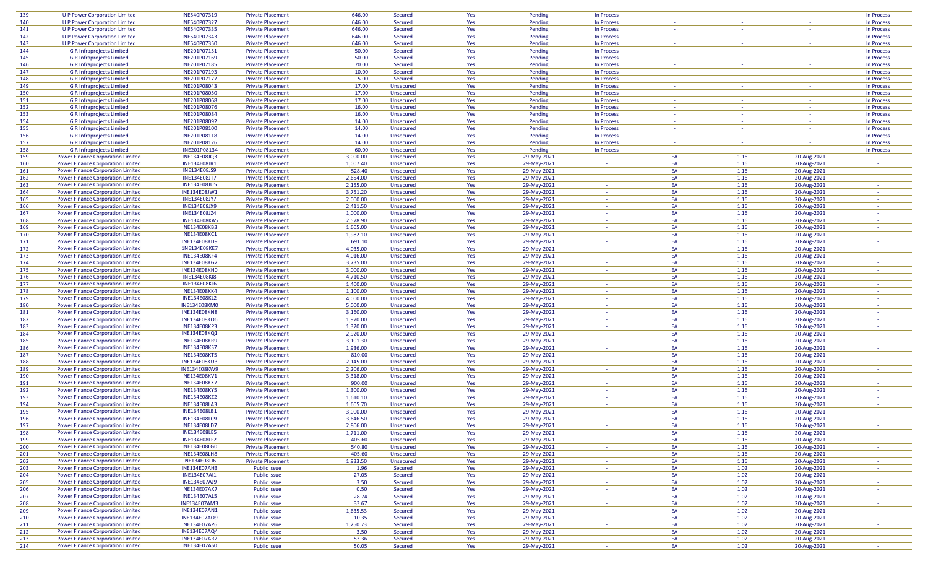| 139 | <b>U P Power Corporation Limited</b>     | INE540P07319        | <b>Private Placement</b> | 646.00   | Secured   | Yes | Pending     | In Process     | $\sim$         |        | $\sim$         | In Process               |
|-----|------------------------------------------|---------------------|--------------------------|----------|-----------|-----|-------------|----------------|----------------|--------|----------------|--------------------------|
| 140 | <b>U P Power Corporation Limited</b>     | INE540P07327        | <b>Private Placement</b> | 646.00   | Secured   | Yes | Pending     | In Process     | $\sim$         | $\sim$ | $\sim$         | In Process               |
| 141 | <b>U P Power Corporation Limited</b>     | INE540P07335        | <b>Private Placement</b> | 646.00   | Secured   | Yes | Pending     | In Process     | $\sim$         | $\sim$ | $\sim$         | In Process               |
| 142 | <b>U P Power Corporation Limited</b>     | INE540P07343        | <b>Private Placement</b> | 646.00   | Secured   | Yes | Pending     | In Process     | $\sim$         | $\sim$ | $\sim$         | In Process               |
|     |                                          |                     |                          |          |           |     |             |                |                |        |                |                          |
| 143 | <b>U P Power Corporation Limited</b>     | INE540P07350        | <b>Private Placement</b> | 646.00   | Secured   | Yes | Pending     | In Process     | $\sim$         | $\sim$ | $\sim$         | In Process               |
| 144 | <b>G R Infraprojects Limited</b>         | INE201P07151        | <b>Private Placement</b> | 50.00    | Secured   | Yes | Pending     | In Process     |                | ÷      |                | In Process               |
| 145 | <b>G R Infraprojects Limited</b>         | INE201P07169        | <b>Private Placement</b> | 50.00    | Secured   | Yes | Pending     | In Process     | $\sim$         | na.    | $\sim$         | In Process               |
| 146 | <b>G R Infraprojects Limited</b>         | INE201P07185        | <b>Private Placement</b> | 70.00    | Secured   | Yes | Pending     | In Process     | $\sim$         | $\sim$ | $\sim$         | In Process               |
| 147 | <b>G R Infraprojects Limited</b>         | INE201P07193        | <b>Private Placement</b> | 10.00    | Secured   | Yes | Pending     | In Process     | <b>Section</b> | $\sim$ | $\sim$         | In Process               |
| 148 | <b>G R Infraprojects Limited</b>         | INE201P07177        | <b>Private Placement</b> | 5.00     | Secured   | Yes | Pending     | In Process     | $\sim$         | $\sim$ | $\sim$         | In Process               |
| 149 | <b>G R Infraprojects Limited</b>         | INE201P08043        | <b>Private Placement</b> | 17.00    | Unsecured | Yes | Pending     | In Process     | $\sim$         | $\sim$ | $\sim$         | In Process               |
| 150 | <b>G R Infraprojects Limited</b>         | INE201P08050        | <b>Private Placement</b> | 17.00    | Unsecured | Yes | Pending     | In Process     | 14.1           | $\sim$ | 14.1           | In Process               |
| 151 | <b>G R Infraprojects Limited</b>         | <b>INE201P08068</b> | <b>Private Placement</b> | 17.00    | Unsecured | Yes | Pending     | In Process     |                | ÷      |                | In Process               |
| 152 | <b>G R Infraprojects Limited</b>         | INE201P08076        | <b>Private Placement</b> | 16.00    | Unsecured | Yes | Pending     | In Process     | $\sim$         | $\sim$ | $\sim$         | In Process               |
| 153 |                                          |                     |                          | 16.00    |           |     |             |                | $\sim$         | $\sim$ |                |                          |
|     | <b>G R Infraprojects Limited</b>         | INE201P08084        | <b>Private Placement</b> |          | Unsecured | Yes | Pending     | In Process     |                |        | $\sim$         | In Process               |
| 154 | <b>G R Infraprojects Limited</b>         | INE201P08092        | <b>Private Placement</b> | 14.00    | Unsecured | Yes | Pending     | In Process     | $\sim$         | $\sim$ | $\sim$         | In Process               |
| 155 | <b>G R Infraprojects Limited</b>         | INE201P08100        | <b>Private Placement</b> | 14.00    | Unsecured | Yes | Pending     | In Process     | $\sim$         | $\sim$ | <b>Section</b> | In Process               |
| 156 | <b>G R Infraprojects Limited</b>         | INE201P08118        | <b>Private Placement</b> | 14.00    | Unsecured | Yes | Pending     | In Process     | $\sim$         | $\sim$ | <b>Section</b> | In Process               |
| 157 | <b>G R Infraprojects Limited</b>         | INE201P08126        | <b>Private Placement</b> | 14.00    | Unsecured | Yes | Pending     | In Process     | 14.1           | $\sim$ | $\sim$         | In Process               |
| 158 | <b>G R Infraprojects Limited</b>         | INE201P08134        | <b>Private Placement</b> | 60.00    | Unsecured | Yes | Pending     | In Process     |                | na.    |                | In Process               |
| 159 | <b>Power Finance Corporation Limited</b> | <b>INE134E08JQ3</b> | <b>Private Placement</b> | 3,000.00 | Unsecured | Yes | 29-May-2021 | $\sim$         | EA             | 1.16   | 20-Aug-2021    | $\sim$                   |
| 160 | <b>Power Finance Corporation Limited</b> | <b>INE134E08JR1</b> | <b>Private Placement</b> | 1,007.40 | Unsecured | Yes | 29-May-2021 | $\sim$         | EA             | 1.16   | 20-Aug-2021    | $\sim$                   |
| 161 | <b>Power Finance Corporation Limited</b> | <b>INE134E08JS9</b> | <b>Private Placement</b> | 528.40   | Unsecured | Yes | 29-May-2021 | $\sim$         | EA             | 1.16   | 20-Aug-2021    | $\sim$                   |
| 162 | <b>Power Finance Corporation Limited</b> | <b>INE134E08JT7</b> | <b>Private Placement</b> | 2,654.00 | Unsecured | Yes | 29-May-2021 | $\sim$         | EA             | 1.16   | 20-Aug-2021    |                          |
| 163 | <b>Power Finance Corporation Limited</b> | <b>INE134E08JU5</b> | <b>Private Placement</b> | 2,155.00 | Unsecured | Yes | 29-May-2021 | <b>Section</b> | EA             | 1.16   | 20-Aug-2021    | n a                      |
|     |                                          |                     |                          |          |           |     |             |                |                |        |                |                          |
| 164 | <b>Power Finance Corporation Limited</b> | INE134E08JW1        | <b>Private Placement</b> | 3,751.20 | Unsecured | Yes | 29-May-2021 | <b>Section</b> | EA             | 1.16   | 20-Aug-2021    | $\sim$                   |
| 165 | <b>Power Finance Corporation Limited</b> | <b>INE134E08JY7</b> | <b>Private Placement</b> | 2,000.00 | Unsecured | Yes | 29-May-2021 | $\sim$         | EA             | 1.16   | 20-Aug-2021    |                          |
| 166 | Power Finance Corporation Limited        | <b>INE134E08JX9</b> | <b>Private Placement</b> | 2,411.50 | Unsecured | Yes | 29-May-2021 | 187            | EA             | 1.16   | 20-Aug-2021    | $\sim$                   |
| 167 | <b>Power Finance Corporation Limited</b> | <b>INE134E08JZ4</b> | <b>Private Placement</b> | 1,000.00 | Unsecured | Yes | 29-May-2021 | $\sim$         | EA             | 1.16   | 20-Aug-2021    | $\sim$                   |
| 168 | <b>Power Finance Corporation Limited</b> | <b>INE134E08KA5</b> | <b>Private Placement</b> | 2,578.90 | Unsecured | Yes | 29-May-2021 | $\sim$         | EA             | 1.16   | 20-Aug-2021    | $\overline{\phantom{a}}$ |
| 169 | <b>Power Finance Corporation Limited</b> | <b>INE134E08KB3</b> | <b>Private Placement</b> | 1,605.00 | Unsecured | Yes | 29-May-2021 | $\sim$         | EA             | 1.16   | 20-Aug-2021    |                          |
| 170 | <b>Power Finance Corporation Limited</b> | <b>INE134E08KC1</b> | <b>Private Placement</b> | 1,982.10 | Unsecured | Yes | 29-May-2021 | <b>Section</b> | EA             | 1.16   | 20-Aug-2021    | n a                      |
| 171 | <b>Power Finance Corporation Limited</b> | <b>INE134E08KD9</b> | <b>Private Placement</b> | 691.10   | Unsecured | Yes | 29-May-2021 | $\sim$         | EA             | 1.16   | 20-Aug-2021    | $\sim$                   |
| 172 | <b>Power Finance Corporation Limited</b> | 1NE134E08KE7        | <b>Private Placement</b> | 4,035.00 | Unsecured | Yes | 29-May-2021 | $\Delta \phi$  | EA             | 1.16   | 20-Aug-2021    |                          |
|     |                                          |                     | <b>Private Placement</b> |          |           |     |             | $\sim$         | EA             |        |                |                          |
| 173 | <b>Power Finance Corporation Limited</b> | <b>INE134E08KF4</b> |                          | 4,016.00 | Unsecured | Yes | 29-May-2021 |                |                | 1.16   | 20-Aug-2021    |                          |
| 174 | <b>Power Finance Corporation Limited</b> | <b>INE134E08KG2</b> | <b>Private Placement</b> | 3,735.00 | Unsecured | Yes | 29-May-2021 | $\sim$         | EA             | 1.16   | 20-Aug-2021    | $\sim$                   |
| 175 | <b>Power Finance Corporation Limited</b> | <b>INE134E08KH0</b> | <b>Private Placement</b> | 3,000.00 | Unsecured | Yes | 29-May-2021 | $\sim$         | EA             | 1.16   | 20-Aug-2021    | $\sim$                   |
| 176 | <b>Power Finance Corporation Limited</b> | <b>INE134E08KI8</b> | <b>Private Placement</b> | 4,710.50 | Unsecured | Yes | 29-May-2021 | $\sim$         | EA             | 1.16   | 20-Aug-2021    |                          |
| 177 | Power Finance Corporation Limited        | <b>INE134E08KJ6</b> | <b>Private Placement</b> | 1,400.00 | Unsecured | Yes | 29-May-2021 | $\sim$         | EA             | 1.16   | 20-Aug-2021    | $\sim$                   |
| 178 | <b>Power Finance Corporation Limited</b> | <b>INE134E08KK4</b> | <b>Private Placement</b> | 1,100.00 | Unsecured | Yes | 29-May-2021 | $\sim$         | EA             | 1.16   | 20-Aug-2021    | $\sim$                   |
| 179 | <b>Power Finance Corporation Limited</b> | <b>INE134E08KL2</b> | <b>Private Placement</b> | 4,000.00 | Unsecured | Yes | 29-May-2021 | $\sim$         | EA             | 1.16   | 20-Aug-2021    | $\sim$                   |
| 180 | <b>Power Finance Corporation Limited</b> | INE134E08KM0        | <b>Private Placement</b> | 5,000.00 | Unsecured | Yes | 29-May-2021 | <b>Section</b> | EA             | 1.16   | 20-Aug-2021    | $\sim$                   |
| 181 | Power Finance Corporation Limited        | <b>INE134E08KN8</b> | <b>Private Placement</b> | 3,160.00 | Unsecured | Yes | 29-May-2021 | $\sim$         | EA             | 1.16   | 20-Aug-2021    | $\sim$                   |
| 182 | <b>Power Finance Corporation Limited</b> | <b>INE134E08KO6</b> | <b>Private Placement</b> | 1,970.00 |           |     |             | $\sim$         | EA             | 1.16   |                | $\sim$                   |
|     |                                          |                     |                          |          | Unsecured | Yes | 29-May-2021 |                |                |        | 20-Aug-2021    |                          |
| 183 | <b>Power Finance Corporation Limited</b> | <b>INE134E08KP3</b> | <b>Private Placement</b> | 1,320.00 | Unsecured | Yes | 29-May-2021 | $\sim$         | EA             | 1.16   | 20-Aug-2021    |                          |
| 184 | <b>Power Finance Corporation Limited</b> | <b>INE134E08KQ1</b> | <b>Private Placement</b> | 2,920.00 | Unsecured | Yes | 29-May-2021 | $\sim$         | EA             | 1.16   | 20-Aug-2021    | $\sim$                   |
| 185 | <b>Power Finance Corporation Limited</b> | <b>INE134E08KR9</b> | <b>Private Placement</b> | 3,101.30 | Unsecured | Yes | 29-May-2021 | $\sim$         | EA             | 1.16   | 20-Aug-2021    |                          |
| 186 | <b>Power Finance Corporation Limited</b> | <b>INE134E08KS7</b> | <b>Private Placement</b> | 1,936.00 | Unsecured | Yes | 29-May-2021 | $\sim$         | EA             | 1.16   | 20-Aug-2021    | $\sim$                   |
| 187 | <b>Power Finance Corporation Limited</b> | <b>INE134E08KT5</b> | <b>Private Placement</b> | 810.00   | Unsecured | Yes | 29-May-2021 | $\sim$         | EA             | 1.16   | 20-Aug-2021    |                          |
| 188 | <b>Power Finance Corporation Limited</b> | <b>INE134E08KU3</b> | <b>Private Placement</b> | 2,145.00 | Unsecured | Yes | 29-May-2021 | <b>Section</b> | EA             | 1.16   | 20-Aug-2021    | $\sim$                   |
| 189 | Power Finance Corporation Limited        | <b>INE134E08KW9</b> | <b>Private Placement</b> | 2,206.00 | Unsecured | Yes | 29-May-2021 | $\sim$         | EA             | 1.16   | 20-Aug-2021    |                          |
| 190 | <b>Power Finance Corporation Limited</b> | <b>INE134E08KV1</b> | <b>Private Placement</b> | 3,318.00 | Unsecured | Yes | 29-May-2021 | $\sim$         | EA             | 1.16   | 20-Aug-2021    |                          |
| 191 | Power Finance Corporation Limited        | <b>INE134E08KX7</b> | <b>Private Placement</b> | 900.00   | Unsecured | Yes | 29-May-2021 | <b>College</b> | EA             | 1.16   | 20-Aug-2021    | $\sim$                   |
| 192 | <b>Power Finance Corporation Limited</b> | <b>INE134E08KY5</b> | <b>Private Placement</b> | 1,300.00 | Unsecured | Yes | 29-May-2021 | $\sim$         | EA             | 1.16   |                |                          |
|     |                                          |                     |                          |          |           |     |             |                |                |        | 20-Aug-2021    |                          |
| 193 | <b>Power Finance Corporation Limited</b> | <b>INE134E08KZ2</b> | <b>Private Placement</b> | 1,610.10 | Unsecured | Yes | 29-May-2021 | $\sim$         | EA             | 1.16   | 20-Aug-2021    | $\overline{\phantom{a}}$ |
| 194 | <b>Power Finance Corporation Limited</b> | <b>INE134E08LA3</b> | <b>Private Placement</b> | 1,605.70 | Unsecured | Yes | 29-May-2021 | $\sim$         | EA             | 1.16   | 20-Aug-2021    |                          |
| 195 | <b>Power Finance Corporation Limited</b> | <b>INE134E08LB1</b> | <b>Private Placement</b> | 3,000.00 | Unsecured | Yes | 29-May-2021 | $\sim$         | EA             | 1.16   | 20-Aug-2021    | na.                      |
| 196 | Power Finance Corporation Limited        | <b>INE134E08LC9</b> | <b>Private Placement</b> | 3,646.50 | Unsecured | Yes | 29-May-2021 |                | EA             | 1.16   | 20-Aug-2021    |                          |
| 197 | Power Finance Corporation Limited        | <b>INE134E08LD7</b> | <b>Private Placement</b> | 2,806.00 | Unsecured | Yes | 29-May-2021 |                | EA             | 1.16   | 20-Aug-2021    |                          |
| 198 | Power Finance Corporation Limited        | <b>INE134E08LE5</b> | <b>Private Placement</b> | 1,711.00 | Unsecured | Yes | 29-May-2021 | $\sim 10^{-1}$ | EA             | 1.16   | 20-Aug-2021    | $\sim$                   |
| 199 | Power Finance Corporation Limited        | <b>INE134E08LF2</b> | <b>Private Placement</b> | 405.60   | Unsecured | Yes | 29-May-2021 | $\sim$         | EA             | 1.16   | 20-Aug-2021    | $\sim$                   |
| 200 | Power Finance Corporation Limited        | <b>INE134E08LG0</b> | <b>Private Placement</b> | 540.80   | Unsecured | Yes | 29-May-2021 | <b>College</b> | EA             | 1.16   | 20-Aug-2021    | $\sim$                   |
| 201 | <b>Power Finance Corporation Limited</b> | <b>INE134E08LH8</b> | <b>Private Placement</b> | 405.60   | Unsecured | Yes | 29-May-2021 | $\sim$         | EA             | 1.16   | 20-Aug-2021    |                          |
|     | <b>Power Finance Corporation Limited</b> |                     |                          | 1,933.50 |           |     |             | $\sim 10^{-1}$ | EA             | 1.16   |                | $\sim$                   |
| 202 |                                          | <b>INE134E08LI6</b> | <b>Private Placement</b> |          | Unsecured | Yes | 29-May-2021 |                |                |        | 20-Aug-2021    |                          |
| 203 | <b>Power Finance Corporation Limited</b> | <b>INE134E07AH3</b> | <b>Public Issue</b>      | 1.96     | Secured   | Yes | 29-May-2021 | $\sim$         | EA             | 1.02   | 20-Aug-2021    | $\sim$                   |
| 204 | <b>Power Finance Corporation Limited</b> | <b>INE134E07AI1</b> | <b>Public Issue</b>      | 27.05    | Secured   | Yes | 29-May-2021 | <b>Section</b> | EA             | 1.02   | 20-Aug-2021    | na.                      |
| 205 | Power Finance Corporation Limited        | <b>INE134E07AJ9</b> | <b>Public Issue</b>      | 3.50     | Secured   | Yes | 29-May-2021 | <b>College</b> | EA             | 1.02   | 20-Aug-2021    | $\sim$                   |
| 206 | Power Finance Corporation Limited        | <b>INE134E07AK7</b> | <b>Public Issue</b>      | 0.50     | Secured   | Yes | 29-May-2021 | <b>Section</b> | EA             | 1.02   | 20-Aug-2021    | $\sim$                   |
| 207 | Power Finance Corporation Limited        | <b>INE134E07AL5</b> | <b>Public Issue</b>      | 28.74    | Secured   | Yes | 29-May-2021 | <b>College</b> | EA             | 1.02   | 20-Aug-2021    | $\sim$                   |
| 208 | <b>Power Finance Corporation Limited</b> | <b>INE134E07AM3</b> | <b>Public Issue</b>      | 33.67    | Secured   | Yes | 29-May-2021 | $\sim$         | EA             | 1.02   | 20-Aug-2021    |                          |
| 209 | Power Finance Corporation Limited        | <b>INE134E07AN1</b> | <b>Public Issue</b>      | 1,635.53 | Secured   | Yes | 29-May-2021 | <b>Section</b> | EA             | 1.02   | 20-Aug-2021    | $\sim$                   |
| 210 | <b>Power Finance Corporation Limited</b> | <b>INE134E07AO9</b> | <b>Public Issue</b>      | 10.35    | Secured   | Yes | 29-May-2021 | $\sim$ $-$     | EA             | 1.02   | 20-Aug-2021    | $\sim$                   |
|     | <b>Power Finance Corporation Limited</b> | <b>INE134E07AP6</b> |                          | 1,250.73 |           |     |             | <b>Section</b> |                | 1.02   |                | $\sim$                   |
| 211 |                                          |                     | <b>Public Issue</b>      |          | Secured   | Yes | 29-May-2021 |                | EA             |        | 20-Aug-2021    |                          |
| 212 | <b>Power Finance Corporation Limited</b> | <b>INE134E07AQ4</b> | <b>Public Issue</b>      | 3.50     | Secured   | Yes | 29-May-2021 | $\sim$         | EA             | 1.02   | 20-Aug-2021    | $\sim$                   |
| 213 | <b>Power Finance Corporation Limited</b> | <b>INE134E07AR2</b> | <b>Public Issue</b>      | 53.36    | Secured   | Yes | 29-May-2021 | <b>Section</b> | EA             | 1.02   | 20-Aug-2021    | $\sim$                   |
| 214 | Power Finance Corporation Limited        | <b>INE134E07AS0</b> | <b>Public Issue</b>      | 50.05    | Secured   | Yes | 29-May-2021 | $\sim$         | EA             | 1.02   | 20-Aug-2021    | $\sim$ $\sim$            |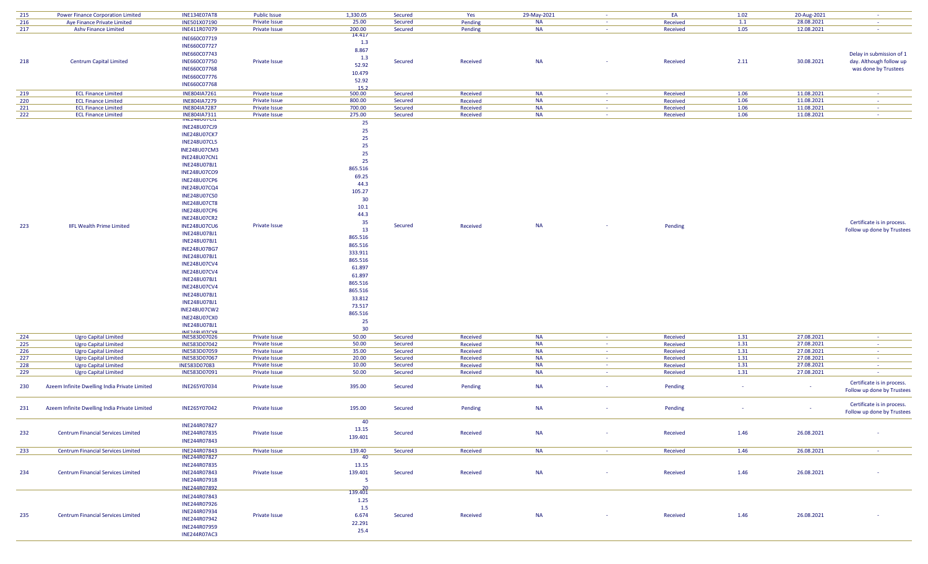| 215        | Power Finance Corporation Limited                          | <b>INE134E07AT8</b>                 | <b>Public Issue</b>            | 1,330.05             | Secured            | Yes                  | 29-May-2021            | $\sim$           | EA                   | 1.02         | 20-Aug-2021              | $\sim$ $\sim$                    |
|------------|------------------------------------------------------------|-------------------------------------|--------------------------------|----------------------|--------------------|----------------------|------------------------|------------------|----------------------|--------------|--------------------------|----------------------------------|
| 216        | Aye Finance Private Limited                                | INE501X07190                        | Private Issue                  | 25.00                | Secured            | Pending              | <b>NA</b>              | $\sim$           | Received             | 1.1          | 28.08.2021               | $\sim$                           |
| 217        | <b>Ashv Finance Limited</b>                                | INE411R07079                        | Private Issue                  | 200.00               | Secured            | Pending              | <b>NA</b>              | $\sim$           | Received             | 1.05         | 12.08.2021               | $\sim$ $\sim$                    |
|            |                                                            |                                     |                                | 14.417               |                    |                      |                        |                  |                      |              |                          |                                  |
|            |                                                            | INE660C07719                        |                                | 1.3                  |                    |                      |                        |                  |                      |              |                          |                                  |
|            |                                                            | INE660C07727                        |                                | 8.867                |                    |                      |                        |                  |                      |              |                          |                                  |
|            |                                                            | INE660C07743                        |                                | 1.3                  |                    |                      |                        |                  |                      |              |                          | Delay in submission of 1         |
| 218        | <b>Centrum Capital Limited</b>                             | INE660C07750                        | Private Issue                  | 52.92                | Secured            | Received             | <b>NA</b>              |                  | Received             | 2.11         | 30.08.2021               | day. Although follow up          |
|            |                                                            | INE660C07768                        |                                | 10.479               |                    |                      |                        |                  |                      |              |                          | was done by Trustees             |
|            |                                                            | INE660C07776                        |                                |                      |                    |                      |                        |                  |                      |              |                          |                                  |
|            |                                                            | INE660C07768                        |                                | 52.92                |                    |                      |                        |                  |                      |              |                          |                                  |
| 219        | <b>ECL Finance Limited</b>                                 | INE804IA7261                        | <b>Private Issue</b>           | 15.2<br>500.00       | Secured            | Received             | <b>NA</b>              | $\sim$           | Received             | 1.06         | 11.08.2021               | $\sim$                           |
| 220        | <b>ECL Finance Limited</b>                                 | INE804IA7279                        | Private Issue                  | 800.00               | Secured            | Received             | <b>NA</b>              | $\sim$           | Received             | 1.06         | 11.08.2021               | $\sim$ $\sim$                    |
| 221        | <b>ECL Finance Limited</b>                                 | <b>INE804IA7287</b>                 | <b>Private Issue</b>           | 700.00               | Secured            | Received             | <b>NA</b>              | $\sim$           | Received             | 1.06         | 11.08.2021               | $\sim$ $-$                       |
| 222        | <b>ECL Finance Limited</b>                                 |                                     | Private Issue                  | 275.00               | Secured            | Received             | <b>NA</b>              | $\sim$           | Received             | 1.06         | 11.08.2021               | <b>Contract</b>                  |
|            |                                                            | INE804IA7311                        |                                | 25                   |                    |                      |                        |                  |                      |              |                          |                                  |
|            |                                                            | <b>INE248U07CJ9</b>                 |                                |                      |                    |                      |                        |                  |                      |              |                          |                                  |
|            |                                                            | <b>INE248U07CK7</b>                 |                                | 25                   |                    |                      |                        |                  |                      |              |                          |                                  |
|            |                                                            | <b>INE248U07CL5</b>                 |                                | 25                   |                    |                      |                        |                  |                      |              |                          |                                  |
|            |                                                            | <b>INE248U07CM3</b>                 |                                | 25                   |                    |                      |                        |                  |                      |              |                          |                                  |
|            |                                                            | <b>INE248U07CN1</b>                 |                                | 25                   |                    |                      |                        |                  |                      |              |                          |                                  |
|            |                                                            | <b>INE248U07BJ1</b>                 |                                | 25                   |                    |                      |                        |                  |                      |              |                          |                                  |
|            |                                                            | <b>INE248U07CO9</b>                 |                                | 865.516              |                    |                      |                        |                  |                      |              |                          |                                  |
|            |                                                            | <b>INE248U07CP6</b>                 |                                | 69.25                |                    |                      |                        |                  |                      |              |                          |                                  |
|            |                                                            | <b>INE248U07CQ4</b>                 |                                | 44.3                 |                    |                      |                        |                  |                      |              |                          |                                  |
|            |                                                            | <b>INE248U07CS0</b>                 |                                | 105.27               |                    |                      |                        |                  |                      |              |                          |                                  |
|            |                                                            |                                     |                                | 30                   |                    |                      |                        |                  |                      |              |                          |                                  |
|            |                                                            | <b>INE248U07CT8</b>                 |                                | 10.1                 |                    |                      |                        |                  |                      |              |                          |                                  |
|            |                                                            | <b>INE248U07CP6</b>                 |                                | 44.3                 |                    |                      |                        |                  |                      |              |                          |                                  |
|            |                                                            | <b>INE248U07CR2</b>                 |                                | 35                   |                    |                      |                        |                  |                      |              |                          | Certificate is in process.       |
| 223        | <b>IIFL Wealth Prime Limited</b>                           | <b>INE248U07CU6</b>                 | Private Issue                  | 13                   | Secured            | Received             | <b>NA</b>              |                  | Pending              |              |                          | Follow up done by Trustees       |
|            |                                                            | <b>INE248U07BJ1</b>                 |                                | 865.516              |                    |                      |                        |                  |                      |              |                          |                                  |
|            |                                                            | INE248U07BJ1                        |                                | 865.516              |                    |                      |                        |                  |                      |              |                          |                                  |
|            |                                                            | <b>INE248U07BG7</b>                 |                                | 333.911              |                    |                      |                        |                  |                      |              |                          |                                  |
|            |                                                            | <b>INE248U07BJ1</b>                 |                                | 865.516              |                    |                      |                        |                  |                      |              |                          |                                  |
|            |                                                            | <b>INE248U07CV4</b>                 |                                | 61.897               |                    |                      |                        |                  |                      |              |                          |                                  |
|            |                                                            | <b>INE248U07CV4</b>                 |                                | 61.897               |                    |                      |                        |                  |                      |              |                          |                                  |
|            |                                                            | INE248U07BJ1                        |                                | 865.516              |                    |                      |                        |                  |                      |              |                          |                                  |
|            |                                                            | <b>INE248U07CV4</b>                 |                                | 865.516              |                    |                      |                        |                  |                      |              |                          |                                  |
|            |                                                            | <b>INE248U07BJ1</b>                 |                                | 33.812               |                    |                      |                        |                  |                      |              |                          |                                  |
|            |                                                            | <b>INE248U07BJ1</b>                 |                                | 73.517               |                    |                      |                        |                  |                      |              |                          |                                  |
|            |                                                            | <b>INE248U07CW2</b>                 |                                |                      |                    |                      |                        |                  |                      |              |                          |                                  |
|            |                                                            | <b>INE248U07CX0</b>                 |                                | 865.516              |                    |                      |                        |                  |                      |              |                          |                                  |
|            |                                                            | <b>INE248U07BJ1</b>                 |                                | 25                   |                    |                      |                        |                  |                      |              |                          |                                  |
|            |                                                            | <b>INIE?ARLIATCVO</b>               |                                | 30                   |                    |                      |                        |                  |                      |              |                          |                                  |
| 224        | <b>Ugro Capital Limited</b>                                | INE583D07026                        | <b>Private Issue</b>           | 50.00                | Secured            | Received             | <b>NA</b>              |                  | Received             | 1.31         | 27.08.2021               | $\sim$                           |
| 225        | <b>Ugro Capital Limited</b>                                | INE583D07042                        | Private Issue                  | 50.00                | Secured            | Received             | <b>NA</b>              | $\sim$           | Received             | 1.31         | 27.08.2021               | $\sim$ $-$                       |
| 226        | <b>Ugro Capital Limited</b>                                | INE583D07059                        | Private Issue                  | 35.00                | Secured            | Received             | <b>NA</b>              | $\sim$<br>$\sim$ | Received             | 1.31         | 27.08.2021               | <b>Contract</b>                  |
| 227<br>228 | <b>Ugro Capital Limited</b><br><b>Ugro Capital Limited</b> | INE583D07067<br>INE583D07083        | Private Issue<br>Private Issue | 20.00<br>10.00       | Secured<br>Secured | Received<br>Received | <b>NA</b><br><b>NA</b> | $\sim$           | Received<br>Received | 1.31<br>1.31 | 27.08.2021<br>27.08.2021 | <b>Section</b><br>$\sim 10^{-1}$ |
| 229        | <b>Ugro Capital Limited</b>                                | INE583D07091                        | Private Issue                  | 50.00                | Secured            | Received             | <b>NA</b>              | $\sim$           | Received             | 1.31         | 27.08.2021               | $\sim$                           |
|            |                                                            |                                     |                                |                      |                    |                      |                        |                  |                      |              |                          |                                  |
| 230        | Azeem Infinite Dwelling India Private Limited              | INE265Y07034                        | <b>Private Issue</b>           | 395.00               | Secured            | Pending              | <b>NA</b>              | $\sim$           | Pending              |              | $\sim$                   | Certificate is in process.       |
|            |                                                            |                                     |                                |                      |                    |                      |                        |                  |                      |              |                          | Follow up done by Trustees       |
|            |                                                            |                                     |                                |                      |                    |                      |                        |                  |                      |              |                          |                                  |
| 231        | Azeem Infinite Dwelling India Private Limited              | INE265Y07042                        | <b>Private Issue</b>           | 195.00               | Secured            | Pending              | <b>NA</b>              | $\sim$           | Pending              |              | $\sim$                   | Certificate is in process.       |
|            |                                                            |                                     |                                |                      |                    |                      |                        |                  |                      |              |                          | Follow up done by Trustees       |
|            |                                                            |                                     |                                | 40                   |                    |                      |                        |                  |                      |              |                          |                                  |
|            |                                                            | INE244R07827                        |                                | 13.15                |                    |                      |                        |                  |                      |              |                          |                                  |
| 232        | <b>Centrum Financial Services Limited</b>                  | INE244R07835                        | Private Issue                  | 139.401              | Secured            | Received             | <b>NA</b>              | $\sim$           | Received             | 1.46         | 26.08.2021               |                                  |
|            |                                                            | INE244R07843                        |                                |                      |                    |                      |                        |                  |                      |              |                          |                                  |
| 233        | <b>Centrum Financial Services Limited</b>                  | INE244R07843                        | Private Issue                  | 139.40               | Secured            | Received             | <b>NA</b>              | <b>Contract</b>  | Received             | 1.46         | 26.08.2021               | <b>Contract</b>                  |
|            |                                                            | INE244R07827                        |                                | 40                   |                    |                      |                        |                  |                      |              |                          |                                  |
|            |                                                            | INE244R07835                        |                                | 13.15                |                    |                      |                        |                  |                      |              |                          |                                  |
| 234        | <b>Centrum Financial Services Limited</b>                  | INE244R07843                        | Private Issue                  | 139.401              | Secured            | Received             | <b>NA</b>              | $\sim$           | Received             | 1.46         | 26.08.2021               |                                  |
|            |                                                            | INE244R07918                        |                                | $5^{\circ}$          |                    |                      |                        |                  |                      |              |                          |                                  |
|            |                                                            | INE244R07892                        |                                |                      |                    |                      |                        |                  |                      |              |                          |                                  |
|            |                                                            | INE244R07843                        |                                | $\frac{20}{139.401}$ |                    |                      |                        |                  |                      |              |                          |                                  |
|            |                                                            | INE244R07926                        |                                | 1.25                 |                    |                      |                        |                  |                      |              |                          |                                  |
|            |                                                            | INE244R07934                        |                                | 1.5                  |                    |                      |                        |                  |                      |              |                          |                                  |
| 235        | <b>Centrum Financial Services Limited</b>                  | INE244R07942                        | Private Issue                  | 6.674                | Secured            | Received             | <b>NA</b>              | $\sim$           | Received             | 1.46         | 26.08.2021               |                                  |
|            |                                                            |                                     |                                | 22.291               |                    |                      |                        |                  |                      |              |                          |                                  |
|            |                                                            | INE244R07959<br><b>INE244R07AC3</b> |                                | 25.4                 |                    |                      |                        |                  |                      |              |                          |                                  |
|            |                                                            |                                     |                                |                      |                    |                      |                        |                  |                      |              |                          |                                  |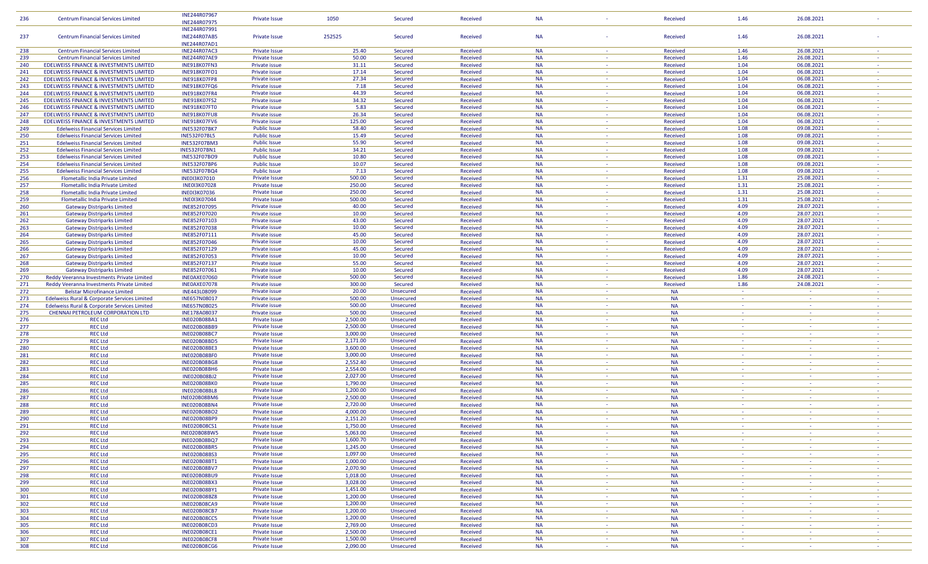| 236        | <b>Centrum Financial Services Limited</b>          | INE244R07967                               | <b>Private Issue</b>           | 1050                 | <b>Secured</b> | <b>Received</b>      | <b>NA</b>              |                | Received               | 1.46           | 26.08.2021      |                          |
|------------|----------------------------------------------------|--------------------------------------------|--------------------------------|----------------------|----------------|----------------------|------------------------|----------------|------------------------|----------------|-----------------|--------------------------|
|            |                                                    | INE244R07975                               |                                |                      |                |                      |                        |                |                        |                |                 |                          |
|            |                                                    | INE244R07991                               |                                |                      |                |                      |                        |                |                        |                |                 |                          |
|            |                                                    |                                            |                                |                      |                |                      |                        |                |                        |                |                 |                          |
| 237        | <b>Centrum Financial Services Limited</b>          | <b>INE244R07AB5</b>                        | Private Issue                  | 252525               | Secured        | Received             | <b>NA</b>              |                | Received               | 1.46           | 26.08.2021      |                          |
|            |                                                    | <b>INE244R07AD1</b>                        |                                |                      |                |                      |                        |                |                        |                |                 |                          |
| 238        | <b>Centrum Financial Services Limited</b>          | <b>INE244R07AC3</b>                        | <b>Private Issue</b>           | 25.40                | Secured        | Received             | <b>NA</b>              | $\sim$         | Received               | 1.46           | 26.08.2021      |                          |
|            |                                                    |                                            |                                | 50.00                |                |                      | <b>NA</b>              | $\sim$         |                        |                | 26.08.2021      |                          |
| 239        | <b>Centrum Financial Services Limited</b>          | <b>INE244R07AE9</b>                        | <b>Private Issue</b>           |                      | Secured        | Received             |                        |                | Received               | 1.46           |                 |                          |
| 240        | EDELWEISS FINANCE & INVESTMENTS LIMITED            | INE918K07FN3                               | Private issue                  | 31.11                | Secured        | Received             | <b>NA</b>              | <b>Section</b> | Received               | 1.04           | 06.08.2021      |                          |
| 241        | EDELWEISS FINANCE & INVESTMENTS LIMITED            | <b>INE918K07FO1</b>                        | Private issue                  | 17.14                | Secured        | Received             | <b>NA</b>              | $\sim$         | Received               | 1.04           | 06.08.2021      |                          |
|            |                                                    |                                            |                                |                      |                |                      | <b>NA</b>              |                |                        |                |                 |                          |
| 242        | EDELWEISS FINANCE & INVESTMENTS LIMITED            | INE918K07FP8                               | Private issue                  | 27.34                | <b>Secured</b> | Received             |                        | <b>COL</b>     | Received               | 1.04           | 06.08.2021      | $\sim$                   |
| 243        | EDELWEISS FINANCE & INVESTMENTS LIMITED            | INE918K07FQ6                               | Private issue                  | 7.18                 | Secured        | Received             | <b>NA</b>              | $\sim$         | Received               | 1.04           | 06.08.2021      |                          |
| 244        | EDELWEISS FINANCE & INVESTMENTS LIMITED            | <b>INE918K07FR4</b>                        | Private issue                  | 44.39                | Secured        | Received             | <b>NA</b>              | $\sim$         | Received               | 1.04           | 06.08.2021      | $\sim$                   |
|            | <b>EDELWEISS FINANCE &amp; INVESTMENTS LIMITED</b> |                                            | Private issue                  | 34.32                | <b>Secured</b> |                      | <b>NA</b>              | $\sim$         |                        | 1.04           | 06.08.2021      |                          |
| 245        |                                                    | <b>INE918K07FS2</b>                        |                                |                      |                | Received             |                        |                | Received               |                |                 |                          |
| 246        | <b>EDELWEISS FINANCE &amp; INVESTMENTS LIMITED</b> | INE918K07FT0                               | Private issue                  | 5.83                 | Secured        | Received             | <b>NA</b>              | <b>Section</b> | Received               | 1.04           | 06.08.2021      | n a                      |
| 247        | EDELWEISS FINANCE & INVESTMENTS LIMITED            | <b>INE918K07FU8</b>                        | Private issue                  | 26.34                | <b>Secured</b> | Received             | <b>NA</b>              | $\sim$         | Received               | 1.04           | 06.08.2021      | $\sim$                   |
| 248        | EDELWEISS FINANCE & INVESTMENTS LIMITED            |                                            | Private issue                  | 125.00               | Secured        |                      | <b>NA</b>              | $\sim$         |                        | 1.04           | 06.08.2021      |                          |
|            |                                                    | <b>INE918K07FV6</b>                        |                                |                      |                | Received             |                        |                | Received               |                |                 |                          |
| 249        | <b>Edelweiss Financial Services Limited</b>        | <b>INE532F07BK7</b>                        | <b>Public Issue</b>            | 58.40                | Secured        | Received             | <b>NA</b>              | <b>Section</b> | Received               | 1.08           | 09.08.2021      | $\sim$                   |
| 250        | <b>Edelweiss Financial Services Limited</b>        | <b>INE532F07BL5</b>                        | <b>Public Issue</b>            | 15.49                | Secured        | Received             | <b>NA</b>              | $\sim$         | Received               | 1.08           | 09.08.2021      | $\sim$                   |
| 251        | <b>Edelweiss Financial Services Limited</b>        | <b>INE532F07BM3</b>                        | <b>Public Issue</b>            | 55.90                | Secured        | Received             | <b>NA</b>              | <b>COL</b>     | Received               | 1.08           | 09.08.2021      | $\overline{\phantom{a}}$ |
|            |                                                    |                                            |                                |                      |                |                      |                        |                |                        |                |                 |                          |
| 252        | <b>Edelweiss Financial Services Limited</b>        | <b>INE532F07BN1</b>                        | <b>Public Issue</b>            | 34.21                | Secured        | Received             | <b>NA</b>              | $\sim$         | Received               | 1.08           | 09.08.2021      |                          |
| 253        | <b>Edelweiss Financial Services Limited</b>        | <b>INE532F07BO9</b>                        | <b>Public Issue</b>            | 10.80                | Secured        | Received             | <b>NA</b>              | $\sim$         | Received               | 1.08           | 09.08.2021      | na.                      |
| 254        | <b>Edelweiss Financial Services Limited</b>        | <b>INE532F07BP6</b>                        | <b>Public Issue</b>            | 10.07                | <b>Secured</b> | Received             | <b>NA</b>              | $\sim$         | Received               | 1.08           | 09.08.2021      | $\sim$                   |
|            |                                                    |                                            |                                |                      |                |                      |                        |                |                        |                |                 |                          |
| 255        | <b>Edelweiss Financial Services Limited</b>        | <b>INE532F07BQ4</b>                        | <b>Public Issue</b>            | 7.13                 | Secured        | Received             | <b>NA</b>              | $\sim$         | Received               | 1.08           | 09.08.2021      | $\sim$                   |
| 256        | Flometallic India Private Limited                  | <b>INE0I3K07010</b>                        | <b>Private Issue</b>           | 500.00               | <b>Secured</b> | Received             | <b>NA</b>              | <b>Section</b> | Received               | 1.31           | 25.08.2021      | $\sim$                   |
| 257        | Flometallic India Private Limited                  | <b>INE0I3K07028</b>                        | <b>Private Issue</b>           | 250.00               | Secured        | Received             | <b>NA</b>              | $\sim$         | Received               | 1.31           | 25.08.2021      | $\sim$                   |
|            |                                                    |                                            |                                |                      |                |                      |                        |                |                        |                |                 |                          |
| 258        | Flometallic India Private Limited                  | <b>INE0I3K07036</b>                        | <b>Private Issue</b>           | 250.00               | Secured        | Received             | <b>NA</b>              | $\sim$         | Received               | 1.31           | 25.08.2021      | $\sim$                   |
| 259        | Flometallic India Private Limited                  | <b>INE0I3K07044</b>                        | <b>Private Issue</b>           | 500.00               | Secured        | Received             | <b>NA</b>              | $\sim$         | Received               | 1.31           | 25.08.2021      |                          |
| 260        | <b>Gateway Distriparks Limited</b>                 | INE852F07095                               | Private issue                  | 40.00                | Secured        | Received             | <b>NA</b>              | $\sim$         | Received               | 4.09           | 28.07.2021      | $\sim$                   |
|            |                                                    |                                            |                                |                      |                |                      |                        |                |                        |                |                 |                          |
| 261        | <b>Gateway Distriparks Limited</b>                 | INE852F07020                               | Private issue                  | 10.00                | Secured        | Received             | <b>NA</b>              | $\sim$         | Received               | 4.09           | 28.07.2021      |                          |
| 262        | <b>Gateway Distriparks Limited</b>                 | INE852F07103                               | Private issue                  | 43.00                | Secured        | Received             | <b>NA</b>              | $\sim$         | Received               | 4.09           | 28.07.2021      | $\sim$                   |
| 263        | <b>Gateway Distriparks Limited</b>                 | INE852F07038                               | Private issue                  | 10.00                | <b>Secured</b> | Received             | <b>NA</b>              | $\sim$         | Received               | 4.09           | 28.07.2021      | $\sim$                   |
|            |                                                    |                                            |                                |                      |                |                      |                        |                |                        |                |                 |                          |
| 264        | <b>Gateway Distriparks Limited</b>                 | INE852F07111                               | Private issue                  | 45.00                | Secured        | Received             | <b>NA</b>              | $\sim$         | Received               | 4.09           | 28.07.2021      | $\sim$                   |
| 265        | <b>Gateway Distriparks Limited</b>                 | INE852F07046                               | Private issue                  | 10.00                | Secured        | Received             | <b>NA</b>              | $\sim$         | Received               | 4.09           | 28.07.2021      | $\sim$                   |
| 266        |                                                    | INE852F07129                               | Private issue                  | 45.00                | Secured        | Received             | <b>NA</b>              | $\sim$         | Received               | 4.09           | 28.07.2021      |                          |
|            | <b>Gateway Distriparks Limited</b>                 |                                            |                                |                      |                |                      |                        |                |                        |                |                 |                          |
| 267        | <b>Gateway Distriparks Limited</b>                 | INE852F07053                               | Private issue                  | 10.00                | Secured        | Received             | <b>NA</b>              | $\sim$         | Received               | 4.09           | 28.07.2021      | $\sim$                   |
| 268        | <b>Gateway Distriparks Limited</b>                 | INE852F07137                               | Private issue                  | 55.00                | <b>Secured</b> | Received             | <b>NA</b>              | $\sim$         | Received               | 4.09           | 28.07.2021      |                          |
| 269        | <b>Gateway Distriparks Limited</b>                 | INE852F07061                               | Private issue                  | 10.00                | Secured        | Received             | <b>NA</b>              | $\sim$         | Received               | 4.09           | 28.07.2021      | $\sim$                   |
|            |                                                    |                                            |                                |                      |                |                      |                        |                |                        |                |                 |                          |
| 270        | Reddy Veeranna Investments Private Limited         | INEOAXE07060                               | Private issue                  | 500.00               | <b>Secured</b> | Received             | <b>NA</b>              | $\sim$         | Received               | 1.86           | 24.08.2021      |                          |
|            |                                                    |                                            |                                |                      |                |                      |                        |                |                        |                |                 |                          |
|            |                                                    |                                            |                                |                      |                | Received             | <b>NA</b>              | <b>Section</b> |                        |                |                 | n a                      |
| 271        | Reddy Veeranna Investments Private Limited         | INEOAXE07078                               | Private issue                  | 300.00               | Secured        |                      |                        |                | Received               | 1.86           | 24.08.2021      |                          |
| 272        | <b>Belstar Microfinance Limited</b>                | INE443L08099                               | Private issue                  | 20.00                | Unsecured      | Received             | <b>NA</b>              | $\sim$         | <b>NA</b>              | $\sim$         | $\sim$          | $\sim$                   |
| 273        | Edelweiss Rural & Corporate Services Limited       | INE657N08017                               | Private issue                  | 500.00               | Unsecured      | Received             | <b>NA</b>              | $\sim$         | <b>NA</b>              | $\sim$         | $\sim$          |                          |
|            |                                                    |                                            |                                |                      |                |                      |                        | $\sim$         |                        | <b>Section</b> | $\sim$          | $\sim$                   |
| 274        | Edelweiss Rural & Corporate Services Limited       | <b>INE657N08025</b>                        | Private issue                  | 500.00               | Unsecured      | Received             | <b>NA</b>              |                | <b>NA</b>              |                |                 |                          |
| 275        | CHENNAI PETROLEUM CORPORATION LTD                  | INE178A08037                               | Private issue                  | 500.00               | Unsecured      | Received             | <b>NA</b>              | $\sim$         | <b>NA</b>              | $\sim$         | $\sim$          | $\sim$                   |
| 276        | <b>REC Ltd</b>                                     | <b>INE020B08BA1</b>                        | <b>Private Issue</b>           | 2,500.00             | Unsecured      | Received             | <b>NA</b>              | $\sim$         | <b>NA</b>              | $\sim$         | $\sim$          |                          |
|            |                                                    |                                            |                                |                      |                |                      | <b>NA</b>              |                | <b>NA</b>              |                |                 |                          |
| 277        | <b>REC Ltd</b>                                     | INE020B08BB9                               | <b>Private Issue</b>           | 2,500.00             | Unsecured      | Received             |                        |                |                        |                |                 |                          |
| 278        | <b>REC Ltd</b>                                     | <b>INE020B08BC7</b>                        | <b>Private Issue</b>           | 3,000.00             | Unsecured      | Received             | <b>NA</b>              | $\sim$         | <b>NA</b>              | $\sim$         | $\sim$          | na.                      |
| 279        | <b>REC Ltd</b>                                     | <b>INE020B08BD5</b>                        | <b>Private Issue</b>           | 2,171.00             | Unsecured      | Received             | <b>NA</b>              | $\sim$         | <b>NA</b>              | $\sim$         | $\sim$          | $\sim$                   |
|            |                                                    |                                            |                                | 3,600.00             |                |                      | <b>NA</b>              | $\sim$         |                        | $\sim$         | $\sim$          |                          |
| 280        | <b>REC Ltd</b>                                     | <b>INE020B08BE3</b>                        | Private Issue                  |                      | Unsecured      | Received             |                        |                | <b>NA</b>              |                |                 |                          |
| 281        | <b>REC Ltd</b>                                     | INE020B08BF0                               | Private Issue                  | 3,000.00             | Unsecured      | Received             | <b>NA</b>              | $\sim$         | <b>NA</b>              | $\sim$         | $\sim$          | $\sim$                   |
| 282        | <b>REC Ltd</b>                                     | <b>INE020B08BG8</b>                        | <b>Private Issue</b>           | 2,552.40             | Unsecured      | Received             | <b>NA</b>              | $\sim$         | <b>NA</b>              | $\sim$         | $\sim$          | $\sim$                   |
|            |                                                    |                                            |                                |                      |                |                      | <b>NA</b>              | $\sim$         |                        | $\sim$         | <b>Contract</b> | $\sim$                   |
| 283        | <b>REC Ltd</b>                                     | INE020B08BH6                               | <b>Private Issue</b>           | 2,554.00             | Unsecured      | Received             |                        |                | <b>NA</b>              |                | $\sim$          |                          |
| 284        | <b>REC Ltd</b>                                     | <b>INE020B08BJ2</b>                        | <b>Private Issue</b>           | 2,027.00             | Unsecured      | Received             | <b>NA</b>              | $\sim$         | <b>NA</b>              | $\sim$         |                 |                          |
| 285        | <b>REC Ltd</b>                                     | INE020B08BK0                               | <b>Private Issue</b>           | 1,790.00             | Unsecured      | Received             | <b>NA</b>              | 18.            | <b>NA</b>              | <b>COL</b>     | $\sim$          | $\sim$                   |
| 286        | <b>REC Ltd</b>                                     | <b>INE020B08BL8</b>                        | <b>Private Issue</b>           | 1,200.00             | Unsecured      | Received             | <b>NA</b>              | $\sim$         | <b>NA</b>              | $\sim$         | $\sim$          | $\sim$                   |
|            |                                                    |                                            |                                |                      |                |                      |                        | $\sim$         |                        | $\sim$         | $\sim$          | $\sim$                   |
| 287        | <b>REC Ltd</b>                                     | INE020B08BM6                               | <b>Private Issue</b>           | 2,500.00             | Unsecured      | Received             | <b>NA</b>              |                | <b>NA</b>              |                |                 |                          |
| 288        | <b>REC Ltd</b>                                     | <b>INE020B08BN4</b>                        | <b>Private Issue</b>           | 2,720.00             | Unsecured      | Received             | <b>NA</b>              | $\sim$         | <b>NA</b>              | ۰.             | $\sim$          | $\sim$                   |
| 289        | <b>REC Ltd</b>                                     | <b>INE020B08BO2</b>                        | Private Issue                  | 4,000.00             | Unsecured      | Received             | <b>NA</b>              | $\sim$         | <b>NA</b>              | $\sim$         | $\sim$          | $\sim$                   |
|            |                                                    |                                            |                                |                      |                |                      | <b>NA</b>              |                |                        | $\sim$         |                 | $\sim$                   |
| 290        | <b>REC Ltd</b>                                     | <b>INE020B08BP9</b>                        | <b>Private Issue</b>           | 2,151.20             | Unsecured      | Received             |                        |                | <b>NA</b>              |                |                 |                          |
| 291        | <b>REC Ltd</b>                                     | <b>INE020B08CS1</b>                        | Private Issue                  | 1,750.00             | Unsecured      | Received             | <b>NA</b>              | <b>Section</b> | <b>NA</b>              | <b>Section</b> | <b>Contract</b> |                          |
| 292        | <b>REC Ltd</b>                                     | <b>INE020B08BW5</b>                        | <b>Private Issue</b>           | 5,063.00             | Unsecured      | Received             | <b>NA</b>              | $\sim$         | <b>NA</b>              | $\sim$         | $\sim$          | $\sim$                   |
|            |                                                    |                                            |                                |                      |                |                      | <b>NA</b>              | $\sim$         |                        | $\sim$         | $\sim$          | $\sim$                   |
| 293        | <b>REC Ltd</b>                                     | <b>INE020B08BQ7</b>                        | <b>Private Issue</b>           | 1,600.70             | Unsecured      | Received             |                        |                | <b>NA</b>              |                |                 |                          |
| 294        | <b>REC Ltd</b>                                     | <b>INE020B08BR5</b>                        | <b>Private Issue</b>           | 1,245.00             | Unsecured      | Received             | <b>NA</b>              | $\sim$         | <b>NA</b>              | $\sim$         | $\sim$          | $\sim$                   |
| 295        | <b>REC Ltd</b>                                     | <b>INE020B08BS3</b>                        | <b>Private Issue</b>           | 1,097.00             | Unsecured      | Received             | <b>NA</b>              | $\sim$         | <b>NA</b>              | $\sim$         | $\sim$          | $\sim$                   |
|            | <b>REC Ltd</b>                                     | <b>INE020B08BT1</b>                        |                                |                      |                | Received             | <b>NA</b>              | $\sim$         | <b>NA</b>              | $\sim$         | $\sim$          | - 4                      |
| 296        |                                                    |                                            | <b>Private Issue</b>           | 1,000.00             | Unsecured      |                      |                        |                |                        |                |                 |                          |
| 297        | <b>REC Ltd</b>                                     | <b>INE020B08BV7</b>                        | <b>Private Issue</b>           | 2,070.90             | Unsecured      | Received             | <b>NA</b>              | $\sim$         | <b>NA</b>              | $\sim$         | $\sim$          | $\sim$                   |
| 298        | <b>REC Ltd</b>                                     | <b>INE020B08BU9</b>                        | Private Issue                  | 1,018.00             | Unsecured      | Received             | <b>NA</b>              | $\sim$         | <b>NA</b>              | $\sim$         | $\sim$          | $\sim$                   |
|            |                                                    |                                            |                                |                      |                |                      | <b>NA</b>              | $\sim$         |                        | $\sim$         | <b>Contract</b> | $\sim$                   |
| 299        | <b>REC Ltd</b>                                     | <b>INE020B08BX3</b>                        | <b>Private Issue</b>           | 3,028.00             | Unsecured      | Received             |                        |                | <b>NA</b>              |                |                 |                          |
| 300        | <b>REC Ltd</b>                                     | <b>INE020B08BY1</b>                        | <b>Private Issue</b>           | 1,451.00             | Unsecured      | Received             | <b>NA</b>              | $\sim$         | <b>NA</b>              | $\sim$         | $\sim$          | $\sim$                   |
| 301        | <b>REC Ltd</b>                                     | <b>INE020B08BZ8</b>                        | <b>Private Issue</b>           | 1,200.00             | Unsecured      | Received             | <b>NA</b>              | $\sim$         | <b>NA</b>              | $\sim$         | $\sim$          | $\sim$                   |
| 302        | <b>REC Ltd</b>                                     | <b>INE020B08CA9</b>                        | <b>Private Issue</b>           | 1,200.00             |                | Received             | <b>NA</b>              | $\sim$         | <b>NA</b>              | $\sim$         |                 |                          |
|            |                                                    |                                            |                                |                      | Unsecured      |                      |                        |                |                        |                |                 |                          |
| 303        | <b>REC Ltd</b>                                     | <b>INE020B08CB7</b>                        | <b>Private Issue</b>           | 1,200.00             | Unsecured      | Received             | <b>NA</b>              | $\sim$         | <b>NA</b>              | $\sim$         | $\sim$          | n a                      |
| 304        | <b>REC Ltd</b>                                     | <b>INE020B08CC5</b>                        | Private Issue                  | 1,200.00             | Unsecured      | Received             | <b>NA</b>              | $\sim$         | <b>NA</b>              | $\sim$         | $\sim$          | $\sim$                   |
|            |                                                    |                                            |                                | 2,769.00             |                |                      | <b>NA</b>              | $\sim$         |                        | $\sim$         | $\sim$          | $\sim$                   |
| 305        | <b>REC Ltd</b>                                     | <b>INE020B08CD3</b>                        | <b>Private Issue</b>           |                      | Unsecured      | Received             |                        |                | <b>NA</b>              |                |                 |                          |
| 306        | <b>REC Ltd</b>                                     | <b>INE020B08CE1</b>                        | Private Issue                  | 2,500.00             | Unsecured      | Received             | <b>NA</b>              | <b>Section</b> | <b>NA</b>              | $\sim$         | $\sim$          | $\sim$                   |
| 307<br>308 | <b>REC Ltd</b><br><b>REC Ltd</b>                   | <b>INE020B08CF8</b><br><b>INE020B08CG6</b> | Private Issue<br>Private Issue | 1,500.00<br>2,090.00 | Unsecured      | Received<br>Received | <b>NA</b><br><b>NA</b> | $\sim$ $\sim$  | <b>NA</b><br><b>NA</b> | $\sim$         | $\sim$          | $\sim$                   |